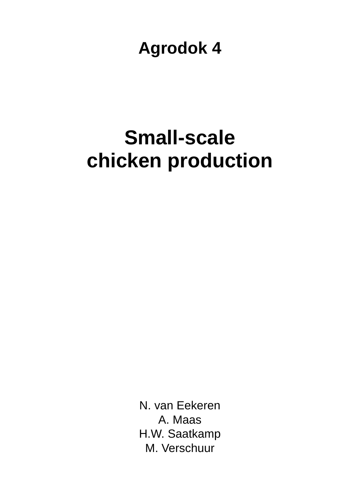**Agrodok 4** 

# **Small-scale chicken production**

N. van Eekeren A. Maas H.W. Saatkamp M. Verschuur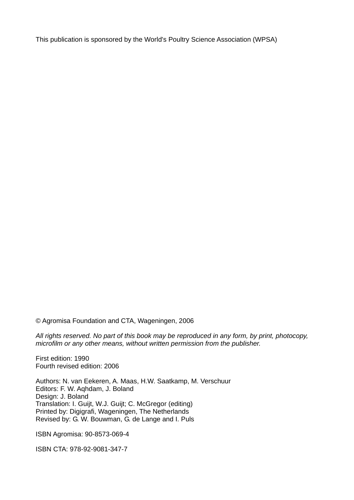This publication is sponsored by the World's Poultry Science Association (WPSA)

© Agromisa Foundation and CTA, Wageningen, 2006

*All rights reserved. No part of this book may be reproduced in any form, by print, photocopy, microfilm or any other means, without written permission from the publisher.* 

First edition: 1990 Fourth revised edition: 2006

Authors: N. van Eekeren, A. Maas, H.W. Saatkamp, M. Verschuur Editors: F. W. Aqhdam, J. Boland Design: J. Boland Translation: I. Guijt, W.J. Guijt; C. McGregor (editing) Printed by: Digigrafi, Wageningen, The Netherlands Revised by: G. W. Bouwman, G. de Lange and I. Puls

ISBN Agromisa: 90-8573-069-4

ISBN CTA: 978-92-9081-347-7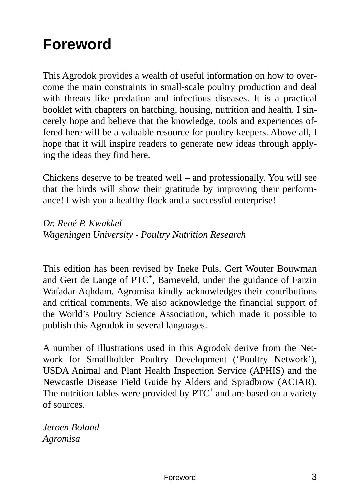## **Foreword**

This Agrodok provides a wealth of useful information on how to overcome the main constraints in small-scale poultry production and deal with threats like predation and infectious diseases. It is a practical booklet with chapters on hatching, housing, nutrition and health. I sincerely hope and believe that the knowledge, tools and experiences offered here will be a valuable resource for poultry keepers. Above all, I hope that it will inspire readers to generate new ideas through applying the ideas they find here.

Chickens deserve to be treated well – and professionally. You will see that the birds will show their gratitude by improving their performance! I wish you a healthy flock and a successful enterprise!

*Dr. René P. Kwakkel Wageningen University - Poultry Nutrition Research* 

This edition has been revised by Ineke Puls, Gert Wouter Bouwman and Gert de Lange of PTC<sup>+</sup>, Barneveld, under the guidance of Farzin Wafadar Aqhdam. Agromisa kindly acknowledges their contributions and critical comments. We also acknowledge the financial support of the World's Poultry Science Association, which made it possible to publish this Agrodok in several languages.

A number of illustrations used in this Agrodok derive from the Network for Smallholder Poultry Development ('Poultry Network'), USDA Animal and Plant Health Inspection Service (APHIS) and the Newcastle Disease Field Guide by Alders and Spradbrow (ACIAR). The nutrition tables were provided by  $PTC<sup>+</sup>$  and are based on a variety of sources.

*Jeroen Boland Agromisa*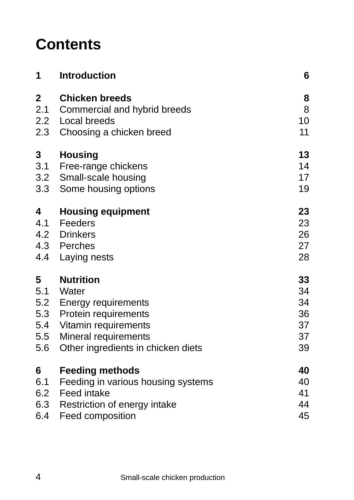## **Contents**

| <b>Introduction</b>                | 6                                                                                                                                                                           |
|------------------------------------|-----------------------------------------------------------------------------------------------------------------------------------------------------------------------------|
| <b>Chicken breeds</b>              | 8                                                                                                                                                                           |
| Commercial and hybrid breeds       | 8                                                                                                                                                                           |
|                                    | 10                                                                                                                                                                          |
| 2.3                                | 11                                                                                                                                                                          |
| <b>Housing</b>                     | 13                                                                                                                                                                          |
| Free-range chickens                | 14                                                                                                                                                                          |
| Small-scale housing                | 17                                                                                                                                                                          |
| 3.3<br>Some housing options        | 19                                                                                                                                                                          |
| <b>Housing equipment</b>           | 23                                                                                                                                                                          |
| Feeders                            | 23                                                                                                                                                                          |
| 4.2 Drinkers                       | 26                                                                                                                                                                          |
| 4.3 Perches                        | 27                                                                                                                                                                          |
| 4.4 Laying nests                   | 28                                                                                                                                                                          |
| <b>Nutrition</b>                   | 33                                                                                                                                                                          |
| Water                              | 34                                                                                                                                                                          |
| <b>Energy requirements</b>         | 34                                                                                                                                                                          |
| 5.3 Protein requirements           | 36                                                                                                                                                                          |
|                                    | 37                                                                                                                                                                          |
| Mineral requirements               | 37                                                                                                                                                                          |
| Other ingredients in chicken diets | 39                                                                                                                                                                          |
|                                    | 40                                                                                                                                                                          |
|                                    | 40                                                                                                                                                                          |
| Feed intake                        | 41                                                                                                                                                                          |
|                                    | 44                                                                                                                                                                          |
| Feed composition                   | 45                                                                                                                                                                          |
| 2.2                                | <b>Local breeds</b><br>Choosing a chicken breed<br>Vitamin requirements<br><b>Feeding methods</b><br>Feeding in various housing systems<br>6.3 Restriction of energy intake |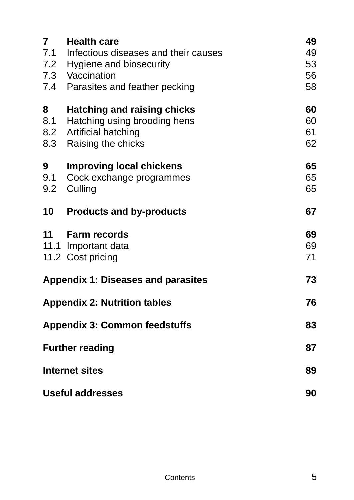| $\overline{7}$                       | <b>Health care</b><br>7.1 Infectious diseases and their causes<br>7.2 Hygiene and biosecurity<br>7.3 Vaccination<br>7.4 Parasites and feather pecking | 49<br>49<br>53<br>56<br>58 |
|--------------------------------------|-------------------------------------------------------------------------------------------------------------------------------------------------------|----------------------------|
| 8<br>8.1<br>8.2<br>8.3               | <b>Hatching and raising chicks</b><br>Hatching using brooding hens<br>Artificial hatching<br>Raising the chicks                                       | 60<br>60<br>61<br>62       |
| 9<br>9.1<br>9.2                      | <b>Improving local chickens</b><br>Cock exchange programmes<br>Culling                                                                                | 65<br>65<br>65             |
| 10                                   | <b>Products and by-products</b>                                                                                                                       | 67                         |
| 11                                   | <b>Farm records</b><br>11.1 Important data<br>11.2 Cost pricing                                                                                       | 69<br>69<br>71             |
|                                      | <b>Appendix 1: Diseases and parasites</b>                                                                                                             | 73                         |
|                                      | <b>Appendix 2: Nutrition tables</b>                                                                                                                   | 76                         |
| <b>Appendix 3: Common feedstuffs</b> |                                                                                                                                                       | 83                         |
|                                      | <b>Further reading</b>                                                                                                                                | 87                         |
|                                      | <b>Internet sites</b>                                                                                                                                 | 89                         |
|                                      | <b>Useful addresses</b>                                                                                                                               | 90                         |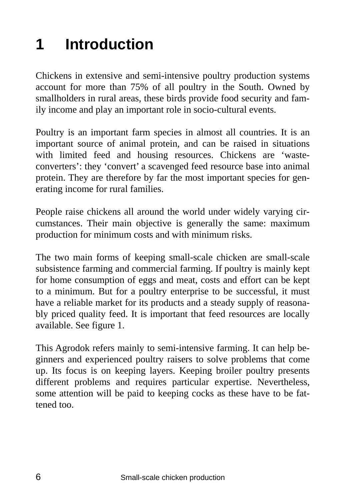# **1 Introduction**

Chickens in extensive and semi-intensive poultry production systems account for more than 75% of all poultry in the South. Owned by smallholders in rural areas, these birds provide food security and family income and play an important role in socio-cultural events.

Poultry is an important farm species in almost all countries. It is an important source of animal protein, and can be raised in situations with limited feed and housing resources. Chickens are 'wasteconverters': they 'convert' a scavenged feed resource base into animal protein. They are therefore by far the most important species for generating income for rural families.

People raise chickens all around the world under widely varying circumstances. Their main objective is generally the same: maximum production for minimum costs and with minimum risks.

The two main forms of keeping small-scale chicken are small-scale subsistence farming and commercial farming. If poultry is mainly kept for home consumption of eggs and meat, costs and effort can be kept to a minimum. But for a poultry enterprise to be successful, it must have a reliable market for its products and a steady supply of reasonably priced quality feed. It is important that feed resources are locally available. See figure 1.

This Agrodok refers mainly to semi-intensive farming. It can help beginners and experienced poultry raisers to solve problems that come up. Its focus is on keeping layers. Keeping broiler poultry presents different problems and requires particular expertise. Nevertheless, some attention will be paid to keeping cocks as these have to be fattened too.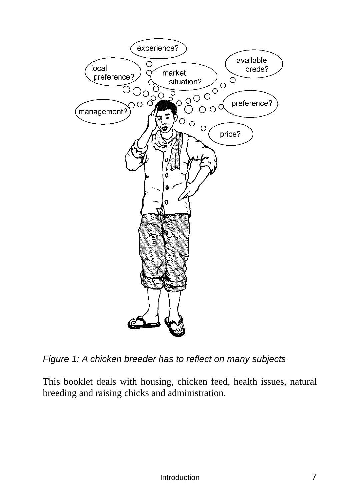

*Figure 1: A chicken breeder has to reflect on many subjects* 

This booklet deals with housing, chicken feed, health issues, natural breeding and raising chicks and administration.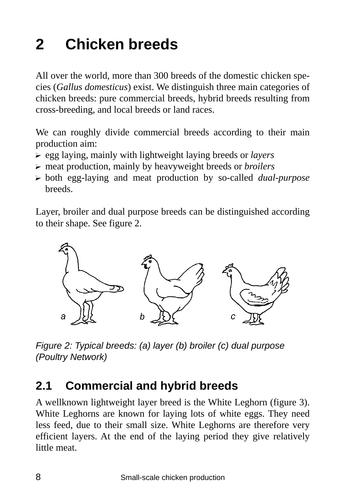# **2 Chicken breeds**

All over the world, more than 300 breeds of the domestic chicken species (*Gallus domesticus*) exist. We distinguish three main categories of chicken breeds: pure commercial breeds, hybrid breeds resulting from cross-breeding, and local breeds or land races.

We can roughly divide commercial breeds according to their main production aim:

- ? egg laying, mainly with lightweight laying breeds or *layers*
- ? meat production, mainly by heavyweight breeds or *broilers*
- ? both egg-laying and meat production by so-called *dual-purpose*  breeds.

Layer, broiler and dual purpose breeds can be distinguished according to their shape. See figure 2.



*Figure 2: Typical breeds: (a) layer (b) broiler (c) dual purpose (Poultry Network)* 

### **2.1 Commercial and hybrid breeds**

A wellknown lightweight layer breed is the White Leghorn (figure 3). White Leghorns are known for laying lots of white eggs. They need less feed, due to their small size. White Leghorns are therefore very efficient layers. At the end of the laying period they give relatively little meat.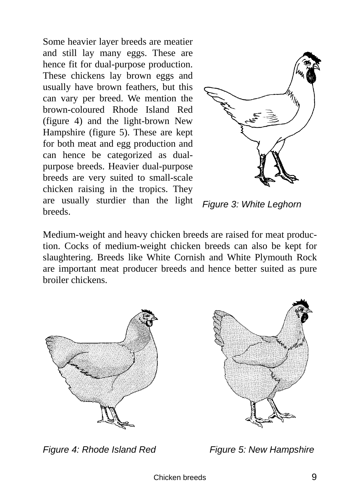Some heavier layer breeds are meatier and still lay many eggs. These are hence fit for dual-purpose production. These chickens lay brown eggs and usually have brown feathers, but this can vary per breed. We mention the brown-coloured Rhode Island Red (figure 4) and the light-brown New Hampshire (figure 5). These are kept for both meat and egg production and can hence be categorized as dualpurpose breeds. Heavier dual-purpose breeds are very suited to small-scale chicken raising in the tropics. They are usually sturdier than the light breeds.



*Figure 3: White Leghorn* 

Medium-weight and heavy chicken breeds are raised for meat production. Cocks of medium-weight chicken breeds can also be kept for slaughtering. Breeds like White Cornish and White Plymouth Rock are important meat producer breeds and hence better suited as pure broiler chickens.



*Figure 4: Rhode Island Red* Figure 5: New Hampshire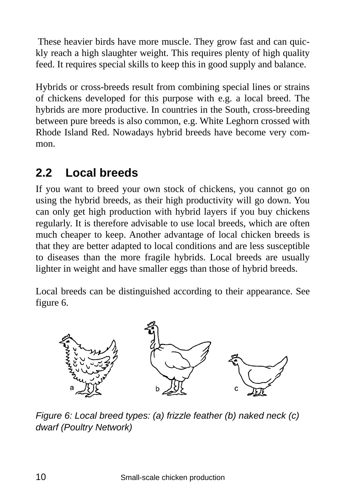These heavier birds have more muscle. They grow fast and can quickly reach a high slaughter weight. This requires plenty of high quality feed. It requires special skills to keep this in good supply and balance.

Hybrids or cross-breeds result from combining special lines or strains of chickens developed for this purpose with e.g. a local breed. The hybrids are more productive. In countries in the South, cross-breeding between pure breeds is also common, e.g. White Leghorn crossed with Rhode Island Red. Nowadays hybrid breeds have become very common.

### **2.2 Local breeds**

If you want to breed your own stock of chickens, you cannot go on using the hybrid breeds, as their high productivity will go down. You can only get high production with hybrid layers if you buy chickens regularly. It is therefore advisable to use local breeds, which are often much cheaper to keep. Another advantage of local chicken breeds is that they are better adapted to local conditions and are less susceptible to diseases than the more fragile hybrids. Local breeds are usually lighter in weight and have smaller eggs than those of hybrid breeds.

Local breeds can be distinguished according to their appearance. See figure 6.



*Figure 6: Local breed types: (a) frizzle feather (b) naked neck (c) dwarf (Poultry Network)*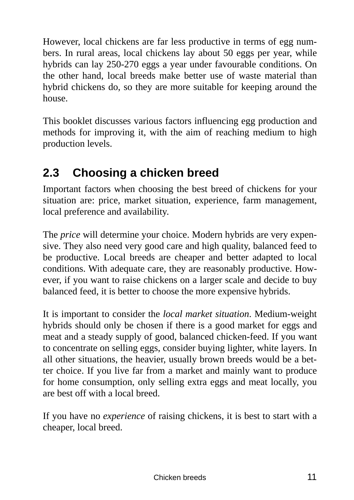However, local chickens are far less productive in terms of egg numbers. In rural areas, local chickens lay about 50 eggs per year, while hybrids can lay 250-270 eggs a year under favourable conditions. On the other hand, local breeds make better use of waste material than hybrid chickens do, so they are more suitable for keeping around the house.

This booklet discusses various factors influencing egg production and methods for improving it, with the aim of reaching medium to high production levels.

### **2.3 Choosing a chicken breed**

Important factors when choosing the best breed of chickens for your situation are: price, market situation, experience, farm management, local preference and availability.

The *price* will determine your choice. Modern hybrids are very expensive. They also need very good care and high quality, balanced feed to be productive. Local breeds are cheaper and better adapted to local conditions. With adequate care, they are reasonably productive. However, if you want to raise chickens on a larger scale and decide to buy balanced feed, it is better to choose the more expensive hybrids.

It is important to consider the *local market situation*. Medium-weight hybrids should only be chosen if there is a good market for eggs and meat and a steady supply of good, balanced chicken-feed. If you want to concentrate on selling eggs, consider buying lighter, white layers. In all other situations, the heavier, usually brown breeds would be a better choice. If you live far from a market and mainly want to produce for home consumption, only selling extra eggs and meat locally, you are best off with a local breed.

If you have no *experience* of raising chickens, it is best to start with a cheaper, local breed.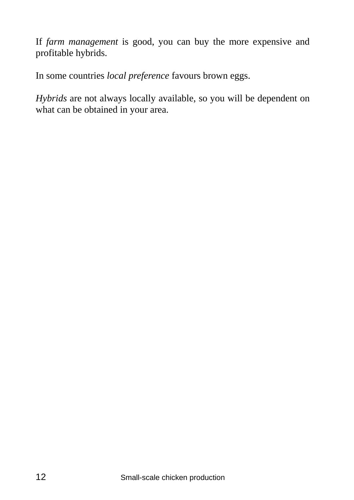If *farm management* is good, you can buy the more expensive and profitable hybrids.

In some countries *local preference* favours brown eggs.

*Hybrids* are not always locally available, so you will be dependent on what can be obtained in your area.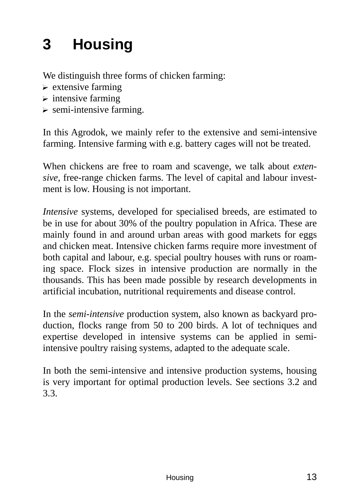# **3 Housing**

We distinguish three forms of chicken farming:

- $\triangleright$  extensive farming
- $\triangleright$  intensive farming
- $\triangleright$  semi-intensive farming.

In this Agrodok, we mainly refer to the extensive and semi-intensive farming. Intensive farming with e.g. battery cages will not be treated.

When chickens are free to roam and scavenge, we talk about *extensive*, free-range chicken farms. The level of capital and labour investment is low. Housing is not important.

*Intensive* systems, developed for specialised breeds, are estimated to be in use for about 30% of the poultry population in Africa. These are mainly found in and around urban areas with good markets for eggs and chicken meat. Intensive chicken farms require more investment of both capital and labour, e.g. special poultry houses with runs or roaming space. Flock sizes in intensive production are normally in the thousands. This has been made possible by research developments in artificial incubation, nutritional requirements and disease control.

In the *semi-intensive* production system, also known as backyard production, flocks range from 50 to 200 birds. A lot of techniques and expertise developed in intensive systems can be applied in semiintensive poultry raising systems, adapted to the adequate scale.

In both the semi-intensive and intensive production systems, housing is very important for optimal production levels. See sections 3.2 and 3.3.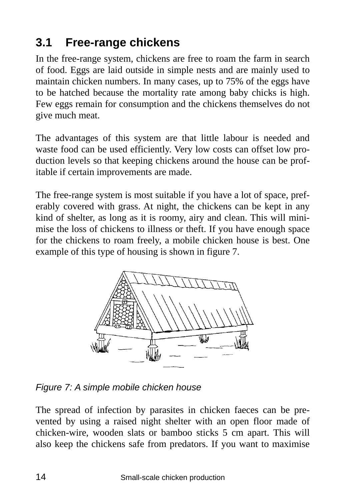## **3.1 Free-range chickens**

In the free-range system, chickens are free to roam the farm in search of food. Eggs are laid outside in simple nests and are mainly used to maintain chicken numbers. In many cases, up to 75% of the eggs have to be hatched because the mortality rate among baby chicks is high. Few eggs remain for consumption and the chickens themselves do not give much meat.

The advantages of this system are that little labour is needed and waste food can be used efficiently. Very low costs can offset low production levels so that keeping chickens around the house can be profitable if certain improvements are made.

The free-range system is most suitable if you have a lot of space, preferably covered with grass. At night, the chickens can be kept in any kind of shelter, as long as it is roomy, airy and clean. This will minimise the loss of chickens to illness or theft. If you have enough space for the chickens to roam freely, a mobile chicken house is best. One example of this type of housing is shown in figure 7.



*Figure 7: A simple mobile chicken house* 

The spread of infection by parasites in chicken faeces can be prevented by using a raised night shelter with an open floor made of chicken-wire, wooden slats or bamboo sticks 5 cm apart. This will also keep the chickens safe from predators. If you want to maximise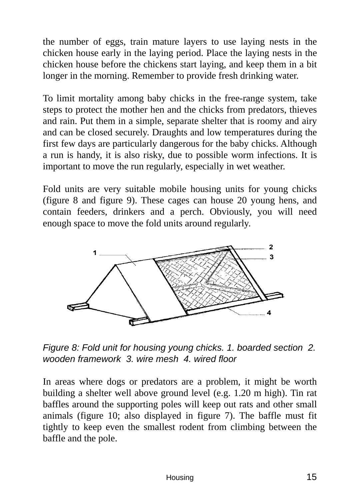the number of eggs, train mature layers to use laying nests in the chicken house early in the laying period. Place the laying nests in the chicken house before the chickens start laying, and keep them in a bit longer in the morning. Remember to provide fresh drinking water.

To limit mortality among baby chicks in the free-range system, take steps to protect the mother hen and the chicks from predators, thieves and rain. Put them in a simple, separate shelter that is roomy and airy and can be closed securely. Draughts and low temperatures during the first few days are particularly dangerous for the baby chicks. Although a run is handy, it is also risky, due to possible worm infections. It is important to move the run regularly, especially in wet weather.

Fold units are very suitable mobile housing units for young chicks (figure 8 and figure 9). These cages can house 20 young hens, and contain feeders, drinkers and a perch. Obviously, you will need enough space to move the fold units around regularly.



*Figure 8: Fold unit for housing young chicks. 1. boarded section 2. wooden framework 3. wire mesh 4. wired floor* 

In areas where dogs or predators are a problem, it might be worth building a shelter well above ground level (e.g. 1.20 m high). Tin rat baffles around the supporting poles will keep out rats and other small animals (figure 10; also displayed in figure 7). The baffle must fit tightly to keep even the smallest rodent from climbing between the baffle and the pole.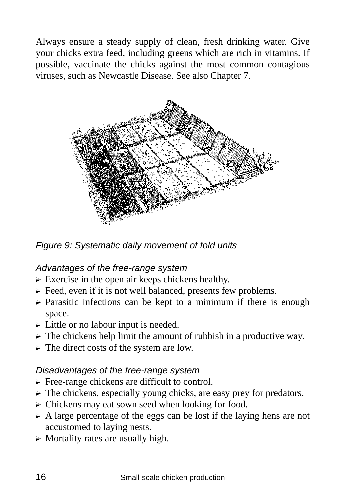Always ensure a steady supply of clean, fresh drinking water. Give your chicks extra feed, including greens which are rich in vitamins. If possible, vaccinate the chicks against the most common contagious viruses, such as Newcastle Disease. See also Chapter 7.



*Figure 9: Systematic daily movement of fold units* 

#### *Advantages of the free-range system*

- $\triangleright$  Exercise in the open air keeps chickens healthy.
- $\triangleright$  Feed, even if it is not well balanced, presents few problems.
- $\triangleright$  Parasitic infections can be kept to a minimum if there is enough space.
- $\triangleright$  Little or no labour input is needed.
- $\triangleright$  The chickens help limit the amount of rubbish in a productive way.
- $\triangleright$  The direct costs of the system are low.

#### *Disadvantages of the free-range system*

- $\triangleright$  Free-range chickens are difficult to control.
- $\triangleright$  The chickens, especially young chicks, are easy prey for predators.
- $\triangleright$  Chickens may eat sown seed when looking for food.
- $\triangleright$  A large percentage of the eggs can be lost if the laying hens are not accustomed to laying nests.
- $\triangleright$  Mortality rates are usually high.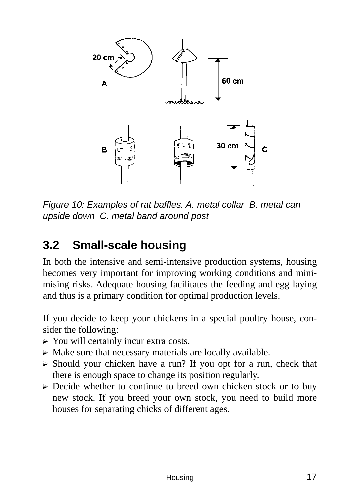

*Figure 10: Examples of rat baffles. A. metal collar B. metal can upside down C. metal band around post* 

### **3.2 Small-scale housing**

In both the intensive and semi-intensive production systems, housing becomes very important for improving working conditions and minimising risks. Adequate housing facilitates the feeding and egg laying and thus is a primary condition for optimal production levels.

If you decide to keep your chickens in a special poultry house, consider the following:

- $\triangleright$  You will certainly incur extra costs.
- $\triangleright$  Make sure that necessary materials are locally available.
- $\triangleright$  Should your chicken have a run? If you opt for a run, check that there is enough space to change its position regularly.
- $\triangleright$  Decide whether to continue to breed own chicken stock or to buy new stock. If you breed your own stock, you need to build more houses for separating chicks of different ages.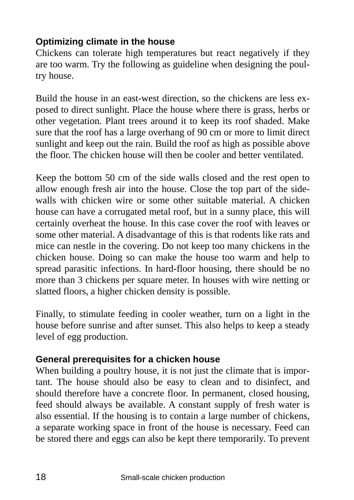#### **Optimizing climate in the house**

Chickens can tolerate high temperatures but react negatively if they are too warm. Try the following as guideline when designing the poultry house.

Build the house in an east-west direction, so the chickens are less exposed to direct sunlight. Place the house where there is grass, herbs or other vegetation. Plant trees around it to keep its roof shaded. Make sure that the roof has a large overhang of 90 cm or more to limit direct sunlight and keep out the rain. Build the roof as high as possible above the floor. The chicken house will then be cooler and better ventilated.

Keep the bottom 50 cm of the side walls closed and the rest open to allow enough fresh air into the house. Close the top part of the sidewalls with chicken wire or some other suitable material. A chicken house can have a corrugated metal roof, but in a sunny place, this will certainly overheat the house. In this case cover the roof with leaves or some other material. A disadvantage of this is that rodents like rats and mice can nestle in the covering. Do not keep too many chickens in the chicken house. Doing so can make the house too warm and help to spread parasitic infections. In hard-floor housing, there should be no more than 3 chickens per square meter. In houses with wire netting or slatted floors, a higher chicken density is possible.

Finally, to stimulate feeding in cooler weather, turn on a light in the house before sunrise and after sunset. This also helps to keep a steady level of egg production.

#### **General prerequisites for a chicken house**

When building a poultry house, it is not just the climate that is important. The house should also be easy to clean and to disinfect, and should therefore have a concrete floor. In permanent, closed housing, feed should always be available. A constant supply of fresh water is also essential. If the housing is to contain a large number of chickens, a separate working space in front of the house is necessary. Feed can be stored there and eggs can also be kept there temporarily. To prevent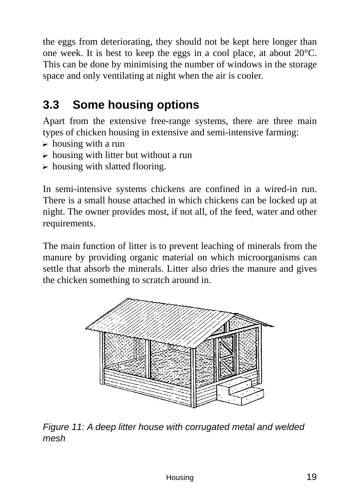the eggs from deteriorating, they should not be kept here longer than one week. It is best to keep the eggs in a cool place, at about 20°C. This can be done by minimising the number of windows in the storage space and only ventilating at night when the air is cooler.

## **3.3 Some housing options**

Apart from the extensive free-range systems, there are three main types of chicken housing in extensive and semi-intensive farming:

- $\triangleright$  housing with a run
- $\triangleright$  housing with litter but without a run
- $\triangleright$  housing with slatted flooring.

In semi-intensive systems chickens are confined in a wired-in run. There is a small house attached in which chickens can be locked up at night. The owner provides most, if not all, of the feed, water and other requirements.

The main function of litter is to prevent leaching of minerals from the manure by providing organic material on which microorganisms can settle that absorb the minerals. Litter also dries the manure and gives the chicken something to scratch around in.



*Figure 11: A deep litter house with corrugated metal and welded mesh*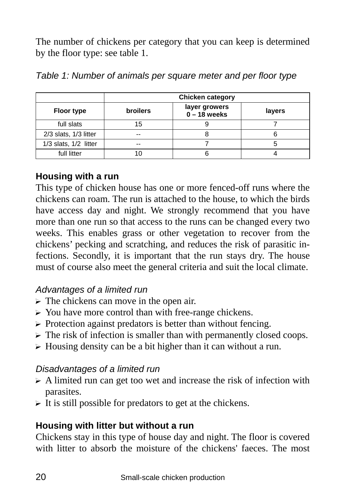The number of chickens per category that you can keep is determined by the floor type: see table 1.

|                           | <b>Chicken category</b> |                                 |        |
|---------------------------|-------------------------|---------------------------------|--------|
| <b>Floor type</b>         | <b>broilers</b>         | layer growers<br>$0 - 18$ weeks | layers |
| full slats                | 15                      |                                 |        |
| $2/3$ slats, $1/3$ litter | --                      |                                 |        |
| 1/3 slats, 1/2 litter     | --                      |                                 |        |
| full litter               |                         |                                 |        |

| Table 1: Number of animals per square meter and per floor type |  |  |  |  |  |  |  |  |
|----------------------------------------------------------------|--|--|--|--|--|--|--|--|
|----------------------------------------------------------------|--|--|--|--|--|--|--|--|

#### **Housing with a run**

This type of chicken house has one or more fenced-off runs where the chickens can roam. The run is attached to the house, to which the birds have access day and night. We strongly recommend that you have more than one run so that access to the runs can be changed every two weeks. This enables grass or other vegetation to recover from the chickens' pecking and scratching, and reduces the risk of parasitic infections. Secondly, it is important that the run stays dry. The house must of course also meet the general criteria and suit the local climate.

#### *Advantages of a limited run*

- $\triangleright$  The chickens can move in the open air.
- $\triangleright$  You have more control than with free-range chickens.
- $\triangleright$  Protection against predators is better than without fencing.
- $\triangleright$  The risk of infection is smaller than with permanently closed coops.
- $\triangleright$  Housing density can be a bit higher than it can without a run.

#### *Disadvantages of a limited run*

- $\triangleright$  A limited run can get too wet and increase the risk of infection with parasites.
- $\triangleright$  It is still possible for predators to get at the chickens.

#### **Housing with litter but without a run**

Chickens stay in this type of house day and night. The floor is covered with litter to absorb the moisture of the chickens' faeces. The most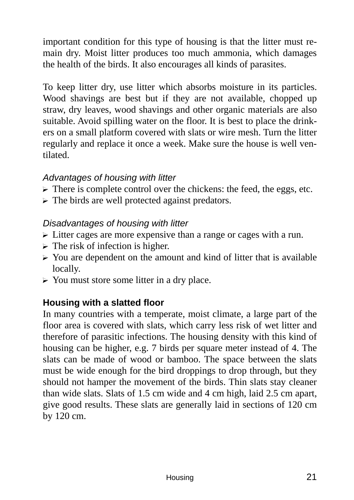important condition for this type of housing is that the litter must remain dry. Moist litter produces too much ammonia, which damages the health of the birds. It also encourages all kinds of parasites.

To keep litter dry, use litter which absorbs moisture in its particles. Wood shavings are best but if they are not available, chopped up straw, dry leaves, wood shavings and other organic materials are also suitable. Avoid spilling water on the floor. It is best to place the drinkers on a small platform covered with slats or wire mesh. Turn the litter regularly and replace it once a week. Make sure the house is well ventilated.

#### *Advantages of housing with litter*

- $\triangleright$  There is complete control over the chickens: the feed, the eggs, etc.
- $\triangleright$  The birds are well protected against predators.

#### *Disadvantages of housing with litter*

- $\triangleright$  Litter cages are more expensive than a range or cages with a run.
- $\triangleright$  The risk of infection is higher.
- $\triangleright$  You are dependent on the amount and kind of litter that is available locally.
- $\triangleright$  You must store some litter in a dry place.

#### **Housing with a slatted floor**

In many countries with a temperate, moist climate, a large part of the floor area is covered with slats, which carry less risk of wet litter and therefore of parasitic infections. The housing density with this kind of housing can be higher, e.g. 7 birds per square meter instead of 4. The slats can be made of wood or bamboo. The space between the slats must be wide enough for the bird droppings to drop through, but they should not hamper the movement of the birds. Thin slats stay cleaner than wide slats. Slats of 1.5 cm wide and 4 cm high, laid 2.5 cm apart, give good results. These slats are generally laid in sections of 120 cm by 120 cm.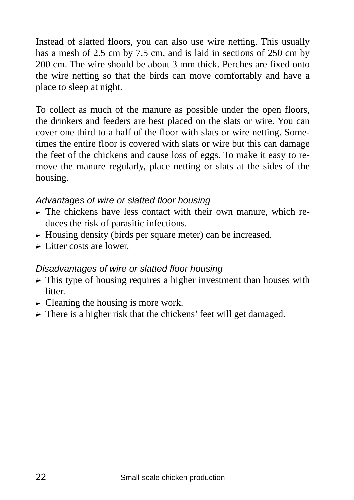Instead of slatted floors, you can also use wire netting. This usually has a mesh of 2.5 cm by 7.5 cm, and is laid in sections of 250 cm by 200 cm. The wire should be about 3 mm thick. Perches are fixed onto the wire netting so that the birds can move comfortably and have a place to sleep at night.

To collect as much of the manure as possible under the open floors, the drinkers and feeders are best placed on the slats or wire. You can cover one third to a half of the floor with slats or wire netting. Sometimes the entire floor is covered with slats or wire but this can damage the feet of the chickens and cause loss of eggs. To make it easy to remove the manure regularly, place netting or slats at the sides of the housing.

#### *Advantages of wire or slatted floor housing*

- $\triangleright$  The chickens have less contact with their own manure, which reduces the risk of parasitic infections.
- $\triangleright$  Housing density (birds per square meter) can be increased.
- $\triangleright$  Litter costs are lower.

#### *Disadvantages of wire or slatted floor housing*

- $\triangleright$  This type of housing requires a higher investment than houses with litter.
- $\triangleright$  Cleaning the housing is more work.
- $\triangleright$  There is a higher risk that the chickens' feet will get damaged.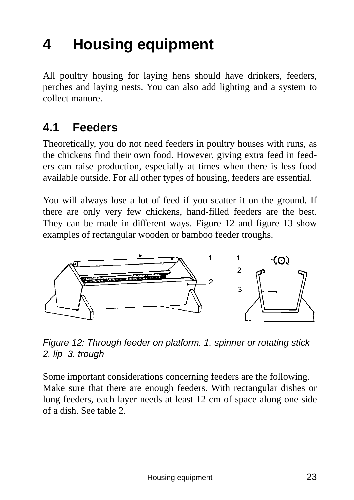# **4 Housing equipment**

All poultry housing for laying hens should have drinkers, feeders, perches and laying nests. You can also add lighting and a system to collect manure.

### **4.1 Feeders**

Theoretically, you do not need feeders in poultry houses with runs, as the chickens find their own food. However, giving extra feed in feeders can raise production, especially at times when there is less food available outside. For all other types of housing, feeders are essential.

You will always lose a lot of feed if you scatter it on the ground. If there are only very few chickens, hand-filled feeders are the best. They can be made in different ways. Figure 12 and figure 13 show examples of rectangular wooden or bamboo feeder troughs.



*Figure 12: Through feeder on platform. 1. spinner or rotating stick 2. lip 3. trough* 

Some important considerations concerning feeders are the following. Make sure that there are enough feeders. With rectangular dishes or long feeders, each layer needs at least 12 cm of space along one side of a dish. See table 2.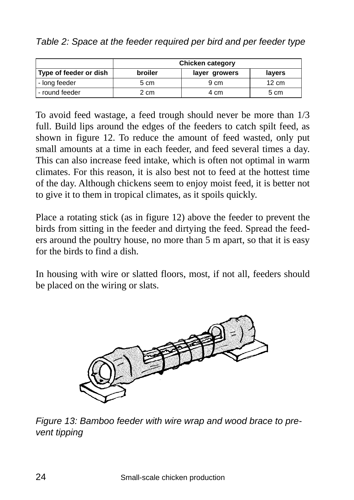*Table 2: Space at the feeder required per bird and per feeder type* 

|                        | <b>Chicken category</b> |               |                 |
|------------------------|-------------------------|---------------|-----------------|
| Type of feeder or dish | broiler                 | layer growers | layers          |
| - long feeder          | 5 cm                    | 9 cm          | $12 \text{ cm}$ |
| - round feeder         | 2 cm                    | 4 cm          | 5 cm            |

To avoid feed wastage, a feed trough should never be more than 1/3 full. Build lips around the edges of the feeders to catch spilt feed, as shown in figure 12. To reduce the amount of feed wasted, only put small amounts at a time in each feeder, and feed several times a day. This can also increase feed intake, which is often not optimal in warm climates. For this reason, it is also best not to feed at the hottest time of the day. Although chickens seem to enjoy moist feed, it is better not to give it to them in tropical climates, as it spoils quickly.

Place a rotating stick (as in figure 12) above the feeder to prevent the birds from sitting in the feeder and dirtying the feed. Spread the feeders around the poultry house, no more than 5 m apart, so that it is easy for the birds to find a dish.

In housing with wire or slatted floors, most, if not all, feeders should be placed on the wiring or slats.



*Figure 13: Bamboo feeder with wire wrap and wood brace to prevent tipping*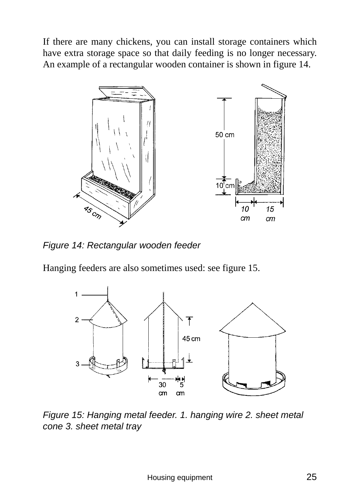If there are many chickens, you can install storage containers which have extra storage space so that daily feeding is no longer necessary. An example of a rectangular wooden container is shown in figure 14.



*Figure 14: Rectangular wooden feeder* 

Hanging feeders are also sometimes used: see figure 15.



*Figure 15: Hanging metal feeder. 1. hanging wire 2. sheet metal cone 3. sheet metal tray*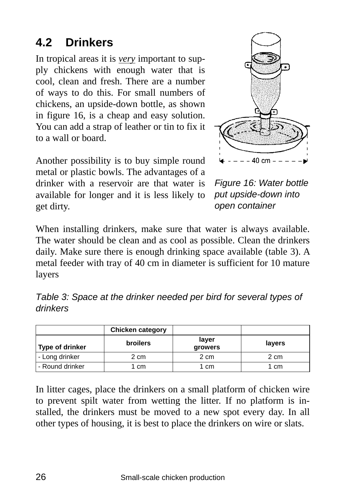## **4.2 Drinkers**

In tropical areas it is *very* important to supply chickens with enough water that is cool, clean and fresh. There are a number of ways to do this. For small numbers of chickens, an upside-down bottle, as shown in figure 16, is a cheap and easy solution. You can add a strap of leather or tin to fix it to a wall or board.

Another possibility is to buy simple round metal or plastic bowls. The advantages of a drinker with a reservoir are that water is available for longer and it is less likely to get dirty.



*Figure 16: Water bottle put upside-down into open container* 

When installing drinkers, make sure that water is always available. The water should be clean and as cool as possible. Clean the drinkers daily. Make sure there is enough drinking space available (table 3). A metal feeder with tray of 40 cm in diameter is sufficient for 10 mature layers

| Table 3: Space at the drinker needed per bird for several types of |  |  |
|--------------------------------------------------------------------|--|--|
| drinkers                                                           |  |  |

|                        | <b>Chicken category</b> |                  |        |
|------------------------|-------------------------|------------------|--------|
| <b>Type of drinker</b> | <b>broilers</b>         | layer<br>growers | layers |
| - Long drinker         | 2 cm                    | 2 cm             | 2 cm   |
| - Round drinker        | cm                      | 1 cm             | 1 cm   |

In litter cages, place the drinkers on a small platform of chicken wire to prevent spilt water from wetting the litter. If no platform is installed, the drinkers must be moved to a new spot every day. In all other types of housing, it is best to place the drinkers on wire or slats.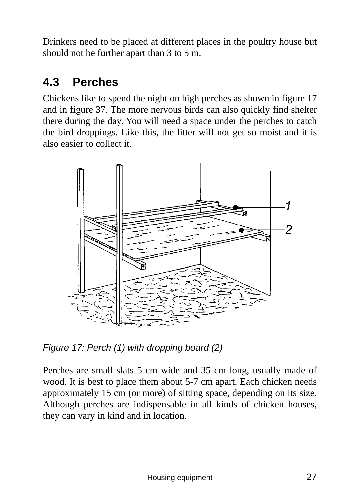Drinkers need to be placed at different places in the poultry house but should not be further apart than 3 to 5 m.

### **4.3 Perches**

Chickens like to spend the night on high perches as shown in figure 17 and in figure 37. The more nervous birds can also quickly find shelter there during the day. You will need a space under the perches to catch the bird droppings. Like this, the litter will not get so moist and it is also easier to collect it.



*Figure 17: Perch (1) with dropping board (2)* 

Perches are small slats 5 cm wide and 35 cm long, usually made of wood. It is best to place them about 5-7 cm apart. Each chicken needs approximately 15 cm (or more) of sitting space, depending on its size. Although perches are indispensable in all kinds of chicken houses, they can vary in kind and in location.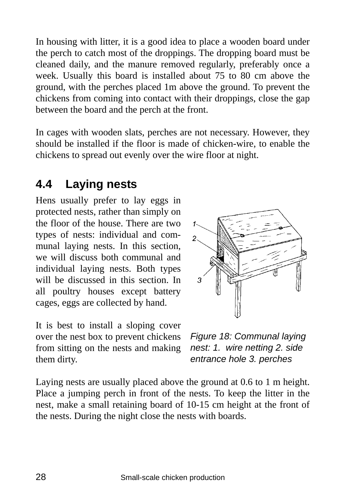In housing with litter, it is a good idea to place a wooden board under the perch to catch most of the droppings. The dropping board must be cleaned daily, and the manure removed regularly, preferably once a week. Usually this board is installed about 75 to 80 cm above the ground, with the perches placed 1m above the ground. To prevent the chickens from coming into contact with their droppings, close the gap between the board and the perch at the front.

In cages with wooden slats, perches are not necessary. However, they should be installed if the floor is made of chicken-wire, to enable the chickens to spread out evenly over the wire floor at night.

### **4.4 Laying nests**

Hens usually prefer to lay eggs in protected nests, rather than simply on the floor of the house. There are two types of nests: individual and communal laying nests. In this section, we will discuss both communal and individual laying nests. Both types will be discussed in this section. In all poultry houses except battery cages, eggs are collected by hand.

It is best to install a sloping cover over the nest box to prevent chickens from sitting on the nests and making them dirty.



*Figure 18: Communal laying nest: 1. wire netting 2. side entrance hole 3. perches* 

Laying nests are usually placed above the ground at 0.6 to 1 m height. Place a jumping perch in front of the nests. To keep the litter in the nest, make a small retaining board of 10-15 cm height at the front of the nests. During the night close the nests with boards.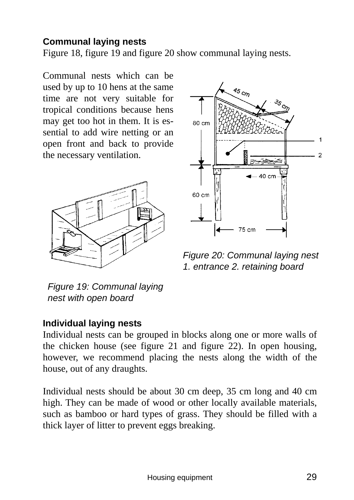#### **Communal laying nests**

Figure 18, figure 19 and figure 20 show communal laying nests.

Communal nests which can be used by up to 10 hens at the same time are not very suitable for tropical conditions because hens may get too hot in them. It is essential to add wire netting or an open front and back to provide the necessary ventilation.





*Figure 20: Communal laying nest 1. entrance 2. retaining board* 

*Figure 19: Communal laying nest with open board* 

#### **Individual laying nests**

Individual nests can be grouped in blocks along one or more walls of the chicken house (see figure 21 and figure 22). In open housing, however, we recommend placing the nests along the width of the house, out of any draughts.

Individual nests should be about 30 cm deep, 35 cm long and 40 cm high. They can be made of wood or other locally available materials, such as bamboo or hard types of grass. They should be filled with a thick layer of litter to prevent eggs breaking.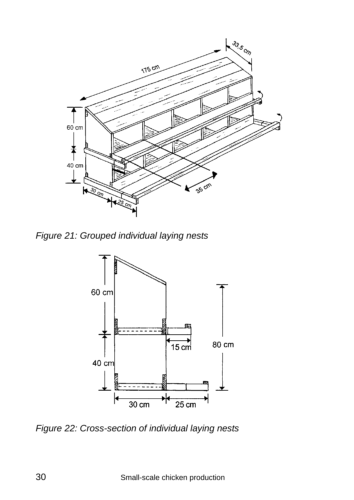

*Figure 21: Grouped individual laying nests* 



*Figure 22: Cross-section of individual laying nests*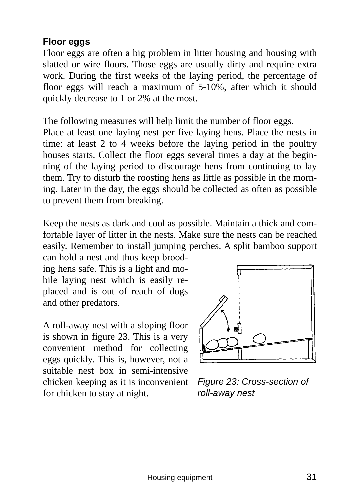#### **Floor eggs**

Floor eggs are often a big problem in litter housing and housing with slatted or wire floors. Those eggs are usually dirty and require extra work. During the first weeks of the laying period, the percentage of floor eggs will reach a maximum of 5-10%, after which it should quickly decrease to 1 or 2% at the most.

The following measures will help limit the number of floor eggs.

Place at least one laying nest per five laying hens. Place the nests in time: at least 2 to 4 weeks before the laying period in the poultry houses starts. Collect the floor eggs several times a day at the beginning of the laying period to discourage hens from continuing to lay them. Try to disturb the roosting hens as little as possible in the morning. Later in the day, the eggs should be collected as often as possible to prevent them from breaking.

Keep the nests as dark and cool as possible. Maintain a thick and comfortable layer of litter in the nests. Make sure the nests can be reached easily. Remember to install jumping perches. A split bamboo support can hold a nest and thus keep brood-

ing hens safe. This is a light and mobile laying nest which is easily replaced and is out of reach of dogs and other predators.

A roll-away nest with a sloping floor is shown in figure 23. This is a very convenient method for collecting eggs quickly. This is, however, not a suitable nest box in semi-intensive chicken keeping as it is inconvenient for chicken to stay at night.



*Figure 23: Cross-section of roll-away nest*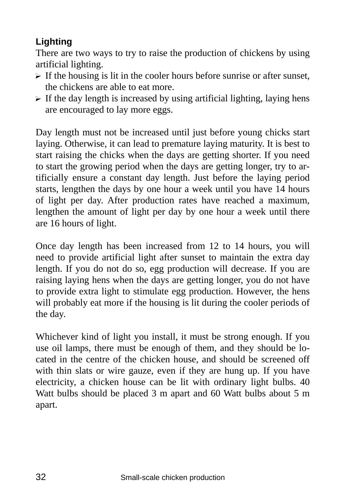#### **Lighting**

There are two ways to try to raise the production of chickens by using artificial lighting.

- $\triangleright$  If the housing is lit in the cooler hours before sunrise or after sunset, the chickens are able to eat more.
- $\triangleright$  If the day length is increased by using artificial lighting, laying hens are encouraged to lay more eggs.

Day length must not be increased until just before young chicks start laying. Otherwise, it can lead to premature laying maturity. It is best to start raising the chicks when the days are getting shorter. If you need to start the growing period when the days are getting longer, try to artificially ensure a constant day length. Just before the laying period starts, lengthen the days by one hour a week until you have 14 hours of light per day. After production rates have reached a maximum, lengthen the amount of light per day by one hour a week until there are 16 hours of light.

Once day length has been increased from 12 to 14 hours, you will need to provide artificial light after sunset to maintain the extra day length. If you do not do so, egg production will decrease. If you are raising laying hens when the days are getting longer, you do not have to provide extra light to stimulate egg production. However, the hens will probably eat more if the housing is lit during the cooler periods of the day.

Whichever kind of light you install, it must be strong enough. If you use oil lamps, there must be enough of them, and they should be located in the centre of the chicken house, and should be screened off with thin slats or wire gauze, even if they are hung up. If you have electricity, a chicken house can be lit with ordinary light bulbs. 40 Watt bulbs should be placed 3 m apart and 60 Watt bulbs about 5 m apart.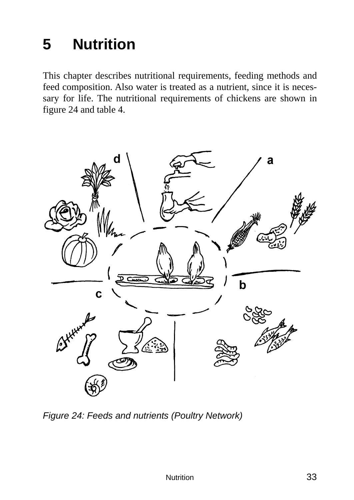# **5 Nutrition**

This chapter describes nutritional requirements, feeding methods and feed composition. Also water is treated as a nutrient, since it is necessary for life. The nutritional requirements of chickens are shown in figure 24 and table 4.



*Figure 24: Feeds and nutrients (Poultry Network)*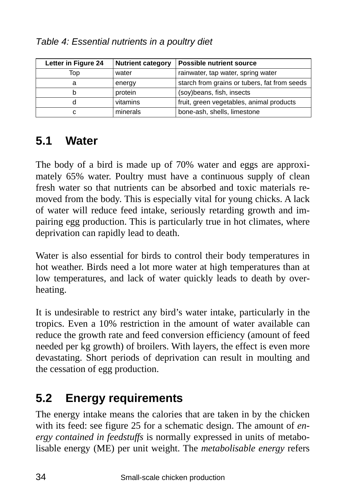| Letter in Figure 24 | <b>Nutrient category</b> | <b>Possible nutrient source</b>              |
|---------------------|--------------------------|----------------------------------------------|
| Top                 | water                    | rainwater, tap water, spring water           |
| a                   | energy                   | starch from grains or tubers, fat from seeds |
| b                   | protein                  | (soy) beans, fish, insects                   |
| d                   | vitamins                 | fruit, green vegetables, animal products     |
| с                   | minerals                 | bone-ash, shells, limestone                  |

## **5.1 Water**

The body of a bird is made up of 70% water and eggs are approximately 65% water. Poultry must have a continuous supply of clean fresh water so that nutrients can be absorbed and toxic materials removed from the body. This is especially vital for young chicks. A lack of water will reduce feed intake, seriously retarding growth and impairing egg production. This is particularly true in hot climates, where deprivation can rapidly lead to death.

Water is also essential for birds to control their body temperatures in hot weather. Birds need a lot more water at high temperatures than at low temperatures, and lack of water quickly leads to death by overheating.

It is undesirable to restrict any bird's water intake, particularly in the tropics. Even a 10% restriction in the amount of water available can reduce the growth rate and feed conversion efficiency (amount of feed needed per kg growth) of broilers. With layers, the effect is even more devastating. Short periods of deprivation can result in moulting and the cessation of egg production.

## **5.2 Energy requirements**

The energy intake means the calories that are taken in by the chicken with its feed: see figure 25 for a schematic design. The amount of *energy contained in feedstuffs* is normally expressed in units of metabolisable energy (ME) per unit weight. The *metabolisable energy* refers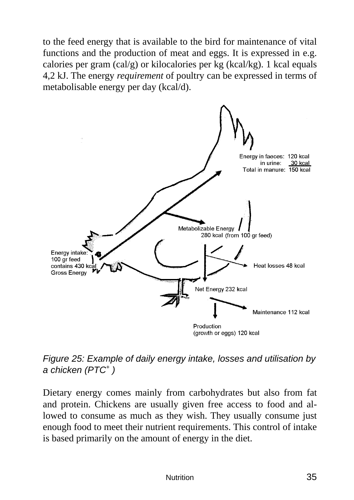to the feed energy that is available to the bird for maintenance of vital functions and the production of meat and eggs. It is expressed in e.g. calories per gram (cal/g) or kilocalories per kg (kcal/kg). 1 kcal equals 4,2 kJ. The energy *requirement* of poultry can be expressed in terms of metabolisable energy per day (kcal/d).



*Figure 25: Example of daily energy intake, losses and utilisation by a chicken (PTC+ )* 

Dietary energy comes mainly from carbohydrates but also from fat and protein. Chickens are usually given free access to food and allowed to consume as much as they wish. They usually consume just enough food to meet their nutrient requirements. This control of intake is based primarily on the amount of energy in the diet.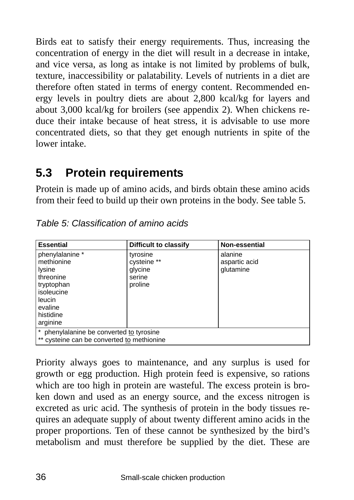Birds eat to satisfy their energy requirements. Thus, increasing the concentration of energy in the diet will result in a decrease in intake, and vice versa, as long as intake is not limited by problems of bulk, texture, inaccessibility or palatability. Levels of nutrients in a diet are therefore often stated in terms of energy content. Recommended energy levels in poultry diets are about 2,800 kcal/kg for layers and about 3,000 kcal/kg for broilers (see appendix 2). When chickens reduce their intake because of heat stress, it is advisable to use more concentrated diets, so that they get enough nutrients in spite of the lower intake.

### **5.3 Protein requirements**

Protein is made up of amino acids, and birds obtain these amino acids from their feed to build up their own proteins in the body. See table 5.

| <b>Essential</b>                                                                                                               | Difficult to classify                                   | Non-essential                         |  |
|--------------------------------------------------------------------------------------------------------------------------------|---------------------------------------------------------|---------------------------------------|--|
| phenylalanine *<br>methionine<br>lysine<br>threonine<br>tryptophan<br>isoleucine<br>leucin<br>evaline<br>histidine<br>arginine | tyrosine<br>cysteine **<br>glycine<br>serine<br>proline | alanine<br>aspartic acid<br>glutamine |  |
| * phenylalanine be converted to tyrosine<br>** cysteine can be converted to methionine                                         |                                                         |                                       |  |

*Table 5: Classification of amino acids* 

Priority always goes to maintenance, and any surplus is used for growth or egg production. High protein feed is expensive, so rations which are too high in protein are wasteful. The excess protein is broken down and used as an energy source, and the excess nitrogen is excreted as uric acid. The synthesis of protein in the body tissues requires an adequate supply of about twenty different amino acids in the proper proportions. Ten of these cannot be synthesized by the bird's metabolism and must therefore be supplied by the diet. These are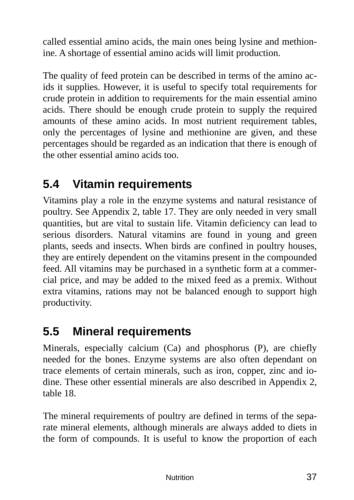called essential amino acids, the main ones being lysine and methionine. A shortage of essential amino acids will limit production.

The quality of feed protein can be described in terms of the amino acids it supplies. However, it is useful to specify total requirements for crude protein in addition to requirements for the main essential amino acids. There should be enough crude protein to supply the required amounts of these amino acids. In most nutrient requirement tables, only the percentages of lysine and methionine are given, and these percentages should be regarded as an indication that there is enough of the other essential amino acids too.

# **5.4 Vitamin requirements**

Vitamins play a role in the enzyme systems and natural resistance of poultry. See Appendix 2, table 17. They are only needed in very small quantities, but are vital to sustain life. Vitamin deficiency can lead to serious disorders. Natural vitamins are found in young and green plants, seeds and insects. When birds are confined in poultry houses, they are entirely dependent on the vitamins present in the compounded feed. All vitamins may be purchased in a synthetic form at a commercial price, and may be added to the mixed feed as a premix. Without extra vitamins, rations may not be balanced enough to support high productivity.

# **5.5 Mineral requirements**

Minerals, especially calcium (Ca) and phosphorus (P), are chiefly needed for the bones. Enzyme systems are also often dependant on trace elements of certain minerals, such as iron, copper, zinc and iodine. These other essential minerals are also described in Appendix 2, table 18.

The mineral requirements of poultry are defined in terms of the separate mineral elements, although minerals are always added to diets in the form of compounds. It is useful to know the proportion of each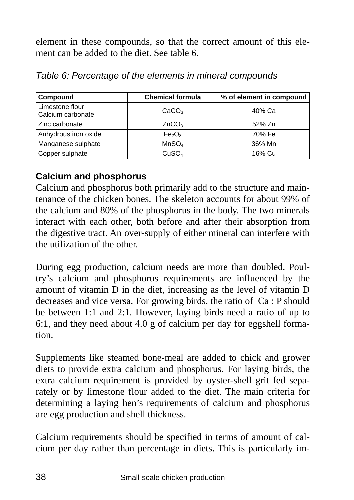element in these compounds, so that the correct amount of this element can be added to the diet. See table 6.

| Compound                             | <b>Chemical formula</b>        | % of element in compound |
|--------------------------------------|--------------------------------|--------------------------|
| Limestone flour<br>Calcium carbonate | CaCO <sub>3</sub>              | 40% Ca                   |
| Zinc carbonate                       | ZnCO <sub>3</sub>              | 52% Zn                   |
| Anhydrous iron oxide                 | Fe <sub>2</sub> O <sub>3</sub> | 70% Fe                   |
| Manganese sulphate                   | MnSO <sub>4</sub>              | 36% Mn                   |
| Copper sulphate                      | CuSO <sub>4</sub>              | 16% Cu                   |

*Table 6: Percentage of the elements in mineral compounds* 

### **Calcium and phosphorus**

Calcium and phosphorus both primarily add to the structure and maintenance of the chicken bones. The skeleton accounts for about 99% of the calcium and 80% of the phosphorus in the body. The two minerals interact with each other, both before and after their absorption from the digestive tract. An over-supply of either mineral can interfere with the utilization of the other.

During egg production, calcium needs are more than doubled. Poultry's calcium and phosphorus requirements are influenced by the amount of vitamin D in the diet, increasing as the level of vitamin D decreases and vice versa. For growing birds, the ratio of Ca : P should be between 1:1 and 2:1. However, laying birds need a ratio of up to 6:1, and they need about 4.0 g of calcium per day for eggshell formation.

Supplements like steamed bone-meal are added to chick and grower diets to provide extra calcium and phosphorus. For laying birds, the extra calcium requirement is provided by oyster-shell grit fed separately or by limestone flour added to the diet. The main criteria for determining a laying hen's requirements of calcium and phosphorus are egg production and shell thickness.

Calcium requirements should be specified in terms of amount of calcium per day rather than percentage in diets. This is particularly im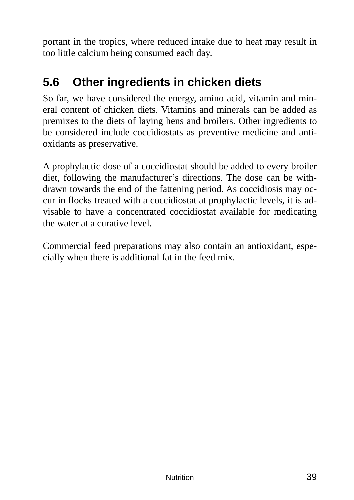portant in the tropics, where reduced intake due to heat may result in too little calcium being consumed each day.

# **5.6 Other ingredients in chicken diets**

So far, we have considered the energy, amino acid, vitamin and mineral content of chicken diets. Vitamins and minerals can be added as premixes to the diets of laying hens and broilers. Other ingredients to be considered include coccidiostats as preventive medicine and antioxidants as preservative.

A prophylactic dose of a coccidiostat should be added to every broiler diet, following the manufacturer's directions. The dose can be withdrawn towards the end of the fattening period. As coccidiosis may occur in flocks treated with a coccidiostat at prophylactic levels, it is advisable to have a concentrated coccidiostat available for medicating the water at a curative level.

Commercial feed preparations may also contain an antioxidant, especially when there is additional fat in the feed mix.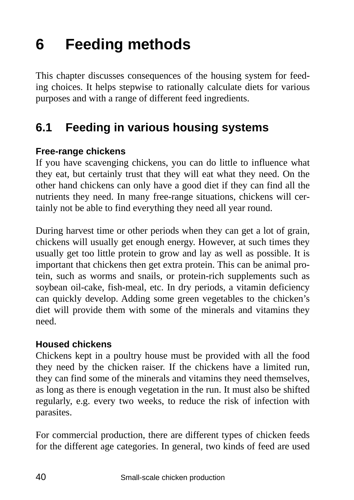# **6 Feeding methods**

This chapter discusses consequences of the housing system for feeding choices. It helps stepwise to rationally calculate diets for various purposes and with a range of different feed ingredients.

## **6.1 Feeding in various housing systems**

### **Free-range chickens**

If you have scavenging chickens, you can do little to influence what they eat, but certainly trust that they will eat what they need. On the other hand chickens can only have a good diet if they can find all the nutrients they need. In many free-range situations, chickens will certainly not be able to find everything they need all year round.

During harvest time or other periods when they can get a lot of grain, chickens will usually get enough energy. However, at such times they usually get too little protein to grow and lay as well as possible. It is important that chickens then get extra protein. This can be animal protein, such as worms and snails, or protein-rich supplements such as soybean oil-cake, fish-meal, etc. In dry periods, a vitamin deficiency can quickly develop. Adding some green vegetables to the chicken's diet will provide them with some of the minerals and vitamins they need.

#### **Housed chickens**

Chickens kept in a poultry house must be provided with all the food they need by the chicken raiser. If the chickens have a limited run, they can find some of the minerals and vitamins they need themselves, as long as there is enough vegetation in the run. It must also be shifted regularly, e.g. every two weeks, to reduce the risk of infection with parasites.

For commercial production, there are different types of chicken feeds for the different age categories. In general, two kinds of feed are used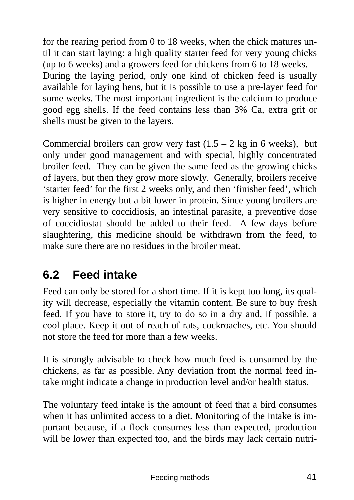for the rearing period from 0 to 18 weeks, when the chick matures until it can start laying: a high quality starter feed for very young chicks (up to 6 weeks) and a growers feed for chickens from 6 to 18 weeks. During the laying period, only one kind of chicken feed is usually available for laying hens, but it is possible to use a pre-layer feed for some weeks. The most important ingredient is the calcium to produce good egg shells. If the feed contains less than 3% Ca, extra grit or shells must be given to the layers.

Commercial broilers can grow very fast  $(1.5 - 2 \text{ kg in 6 weeks})$ , but only under good management and with special, highly concentrated broiler feed. They can be given the same feed as the growing chicks of layers, but then they grow more slowly. Generally, broilers receive 'starter feed' for the first 2 weeks only, and then 'finisher feed', which is higher in energy but a bit lower in protein. Since young broilers are very sensitive to coccidiosis, an intestinal parasite, a preventive dose of coccidiostat should be added to their feed. A few days before slaughtering, this medicine should be withdrawn from the feed, to make sure there are no residues in the broiler meat.

# **6.2 Feed intake**

Feed can only be stored for a short time. If it is kept too long, its quality will decrease, especially the vitamin content. Be sure to buy fresh feed. If you have to store it, try to do so in a dry and, if possible, a cool place. Keep it out of reach of rats, cockroaches, etc. You should not store the feed for more than a few weeks.

It is strongly advisable to check how much feed is consumed by the chickens, as far as possible. Any deviation from the normal feed intake might indicate a change in production level and/or health status.

The voluntary feed intake is the amount of feed that a bird consumes when it has unlimited access to a diet. Monitoring of the intake is important because, if a flock consumes less than expected, production will be lower than expected too, and the birds may lack certain nutri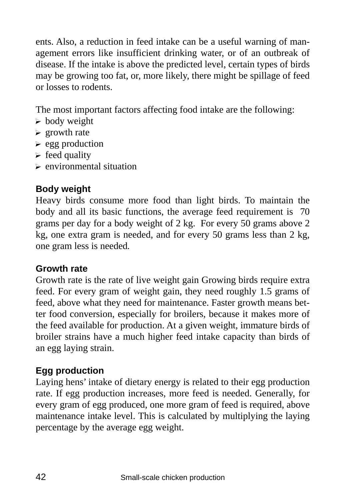ents. Also, a reduction in feed intake can be a useful warning of management errors like insufficient drinking water, or of an outbreak of disease. If the intake is above the predicted level, certain types of birds may be growing too fat, or, more likely, there might be spillage of feed or losses to rodents.

The most important factors affecting food intake are the following:

- $\blacktriangleright$  body weight
- $\triangleright$  growth rate
- $\blacktriangleright$  egg production
- $\triangleright$  feed quality
- $\triangleright$  environmental situation

### **Body weight**

Heavy birds consume more food than light birds. To maintain the body and all its basic functions, the average feed requirement is 70 grams per day for a body weight of 2 kg. For every 50 grams above 2 kg, one extra gram is needed, and for every 50 grams less than 2 kg, one gram less is needed*.* 

#### **Growth rate**

Growth rate is the rate of live weight gain Growing birds require extra feed. For every gram of weight gain, they need roughly 1.5 grams of feed, above what they need for maintenance. Faster growth means better food conversion, especially for broilers, because it makes more of the feed available for production. At a given weight, immature birds of broiler strains have a much higher feed intake capacity than birds of an egg laying strain.

### **Egg production**

Laying hens' intake of dietary energy is related to their egg production rate. If egg production increases, more feed is needed. Generally, for every gram of egg produced, one more gram of feed is required, above maintenance intake level. This is calculated by multiplying the laying percentage by the average egg weight.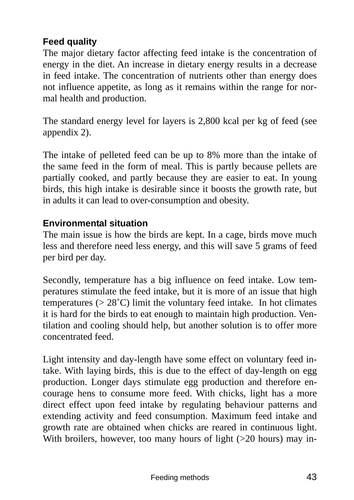### **Feed quality**

The major dietary factor affecting feed intake is the concentration of energy in the diet. An increase in dietary energy results in a decrease in feed intake. The concentration of nutrients other than energy does not influence appetite, as long as it remains within the range for normal health and production.

The standard energy level for layers is 2,800 kcal per kg of feed (see appendix 2).

The intake of pelleted feed can be up to 8% more than the intake of the same feed in the form of meal. This is partly because pellets are partially cooked, and partly because they are easier to eat. In young birds, this high intake is desirable since it boosts the growth rate, but in adults it can lead to over-consumption and obesity.

#### **Environmental situation**

The main issue is how the birds are kept. In a cage, birds move much less and therefore need less energy, and this will save 5 grams of feed per bird per day.

Secondly, temperature has a big influence on feed intake. Low temperatures stimulate the feed intake, but it is more of an issue that high temperatures ( $> 28^{\circ}$ C) limit the voluntary feed intake. In hot climates it is hard for the birds to eat enough to maintain high production. Ventilation and cooling should help, but another solution is to offer more concentrated feed.

Light intensity and day-length have some effect on voluntary feed intake. With laying birds, this is due to the effect of day-length on egg production. Longer days stimulate egg production and therefore encourage hens to consume more feed. With chicks, light has a more direct effect upon feed intake by regulating behaviour patterns and extending activity and feed consumption. Maximum feed intake and growth rate are obtained when chicks are reared in continuous light. With broilers, however, too many hours of light  $(>20$  hours) may in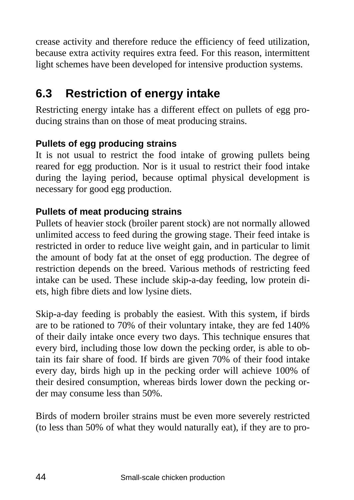crease activity and therefore reduce the efficiency of feed utilization, because extra activity requires extra feed. For this reason, intermittent light schemes have been developed for intensive production systems.

# **6.3 Restriction of energy intake**

Restricting energy intake has a different effect on pullets of egg producing strains than on those of meat producing strains.

### **Pullets of egg producing strains**

It is not usual to restrict the food intake of growing pullets being reared for egg production. Nor is it usual to restrict their food intake during the laying period, because optimal physical development is necessary for good egg production.

### **Pullets of meat producing strains**

Pullets of heavier stock (broiler parent stock) are not normally allowed unlimited access to feed during the growing stage. Their feed intake is restricted in order to reduce live weight gain, and in particular to limit the amount of body fat at the onset of egg production. The degree of restriction depends on the breed. Various methods of restricting feed intake can be used. These include skip-a-day feeding, low protein diets, high fibre diets and low lysine diets.

Skip-a-day feeding is probably the easiest. With this system, if birds are to be rationed to 70% of their voluntary intake, they are fed 140% of their daily intake once every two days. This technique ensures that every bird, including those low down the pecking order, is able to obtain its fair share of food. If birds are given 70% of their food intake every day, birds high up in the pecking order will achieve 100% of their desired consumption, whereas birds lower down the pecking order may consume less than 50%.

Birds of modern broiler strains must be even more severely restricted (to less than 50% of what they would naturally eat), if they are to pro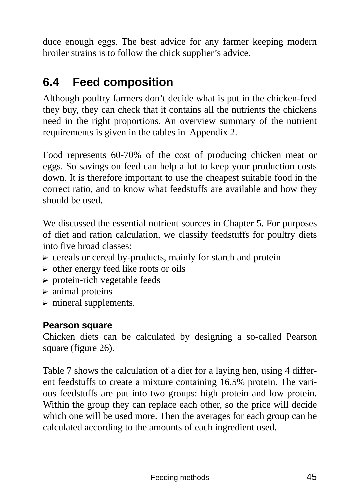duce enough eggs. The best advice for any farmer keeping modern broiler strains is to follow the chick supplier's advice.

# **6.4 Feed composition**

Although poultry farmers don't decide what is put in the chicken-feed they buy, they can check that it contains all the nutrients the chickens need in the right proportions. An overview summary of the nutrient requirements is given in the tables in Appendix 2.

Food represents 60-70% of the cost of producing chicken meat or eggs. So savings on feed can help a lot to keep your production costs down. It is therefore important to use the cheapest suitable food in the correct ratio, and to know what feedstuffs are available and how they should be used.

We discussed the essential nutrient sources in Chapter 5. For purposes of diet and ration calculation, we classify feedstuffs for poultry diets into five broad classes:

- $\triangleright$  cereals or cereal by-products, mainly for starch and protein
- $\triangleright$  other energy feed like roots or oils
- $\triangleright$  protein-rich vegetable feeds
- $\triangleright$  animal proteins
- $\triangleright$  mineral supplements.

#### **Pearson square**

Chicken diets can be calculated by designing a so-called Pearson square (figure 26).

Table 7 shows the calculation of a diet for a laying hen, using 4 different feedstuffs to create a mixture containing 16.5% protein. The various feedstuffs are put into two groups: high protein and low protein. Within the group they can replace each other, so the price will decide which one will be used more. Then the averages for each group can be calculated according to the amounts of each ingredient used.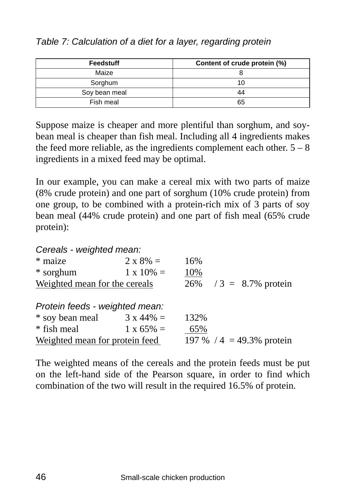| <b>Feedstuff</b> | Content of crude protein (%) |
|------------------|------------------------------|
| Maize            |                              |
| Sorghum          | 10                           |
| Soy bean meal    | 44                           |
| Fish meal        | 65                           |

*Table 7: Calculation of a diet for a layer, regarding protein* 

Suppose maize is cheaper and more plentiful than sorghum, and soybean meal is cheaper than fish meal. Including all 4 ingredients makes the feed more reliable, as the ingredients complement each other.  $5 - 8$ ingredients in a mixed feed may be optimal.

In our example, you can make a cereal mix with two parts of maize (8% crude protein) and one part of sorghum (10% crude protein) from one group, to be combined with a protein-rich mix of 3 parts of soy bean meal (44% crude protein) and one part of fish meal (65% crude protein):

*Cereals - weighted mean:* 

| * maize                           | $2 \times 8\% =$  | 16%  |  |                            |
|-----------------------------------|-------------------|------|--|----------------------------|
| * sorghum                         | $1 \times 10\% =$ | 10%  |  |                            |
| Weighted mean for the cereals     |                   |      |  | $26\%$ / 3 = 8.7% protein  |
|                                   |                   |      |  |                            |
| Protein feeds - weighted mean:    |                   |      |  |                            |
| * soy bean meal $3 \times 44\% =$ |                   | 132% |  |                            |
| * fish meal                       | $1 \times 65\% =$ | 65%  |  |                            |
| Weighted mean for protein feed    |                   |      |  | 197 % $/4$ = 49.3% protein |

The weighted means of the cereals and the protein feeds must be put on the left-hand side of the Pearson square, in order to find which combination of the two will result in the required 16.5% of protein.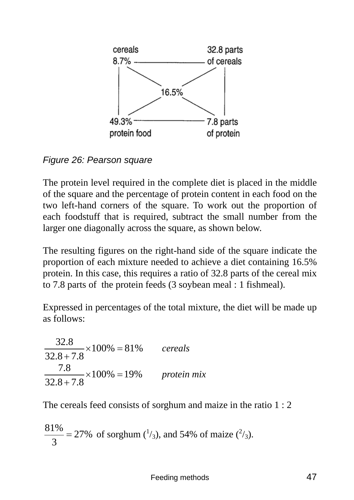

*Figure 26: Pearson square* 

The protein level required in the complete diet is placed in the middle of the square and the percentage of protein content in each food on the two left-hand corners of the square. To work out the proportion of each foodstuff that is required, subtract the small number from the larger one diagonally across the square, as shown below.

The resulting figures on the right-hand side of the square indicate the proportion of each mixture needed to achieve a diet containing 16.5% protein. In this case, this requires a ratio of 32.8 parts of the cereal mix to 7.8 parts of the protein feeds (3 soybean meal : 1 fishmeal).

Expressed in percentages of the total mixture, the diet will be made up as follows:

 $\frac{32.8}{2.2} \times 100\% = 81\%$  $32.8 + 7.8$  $×100% =$ + *cereals*   $\frac{7.8}{2.7} \times 100\% = 19\%$  $32.8 + 7.8$  $×100\% =$  $\frac{10}{2}$  × 100% = 19% protein mix

The cereals feed consists of sorghum and maize in the ratio 1 : 2

$$
\frac{81\%}{3} = 27\% \text{ of sorghum } \left(\frac{1}{3}\right), \text{ and } 54\% \text{ of maize } \left(\frac{2}{3}\right).
$$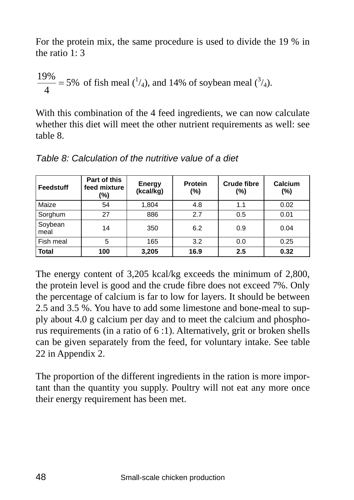For the protein mix, the same procedure is used to divide the 19 % in the ratio 1: 3

$$
\frac{19\%}{4} = 5\% \text{ of fish meal } \left(\frac{1}{4}\right), \text{ and } 14\% \text{ of soybean meal } \left(\frac{3}{4}\right).
$$

With this combination of the 4 feed ingredients, we can now calculate whether this diet will meet the other nutrient requirements as well: see table 8.

| Feedstuff       | Part of this<br>feed mixture<br>(%) | Energy<br>(kcal/kg) | Protein<br>(%) | <b>Crude fibre</b><br>(%) | Calcium<br>(%) |
|-----------------|-------------------------------------|---------------------|----------------|---------------------------|----------------|
| Maize           | 54                                  | 1,804               | 4.8            | 1.1                       | 0.02           |
| Sorghum         | 27                                  | 886                 | 2.7            | 0.5                       | 0.01           |
| Soybean<br>meal | 14                                  | 350                 | 6.2            | 0.9                       | 0.04           |
| Fish meal       | 5                                   | 165                 | 3.2            | 0.0                       | 0.25           |
| <b>Total</b>    | 100                                 | 3,205               | 16.9           | 2.5                       | 0.32           |

*Table 8: Calculation of the nutritive value of a diet* 

The energy content of 3,205 kcal/kg exceeds the minimum of 2,800, the protein level is good and the crude fibre does not exceed 7%. Only the percentage of calcium is far to low for layers. It should be between 2.5 and 3.5 %. You have to add some limestone and bone-meal to supply about 4.0 g calcium per day and to meet the calcium and phosphorus requirements (in a ratio of 6 :1). Alternatively, grit or broken shells can be given separately from the feed, for voluntary intake. See table 22 in Appendix 2.

The proportion of the different ingredients in the ration is more important than the quantity you supply. Poultry will not eat any more once their energy requirement has been met.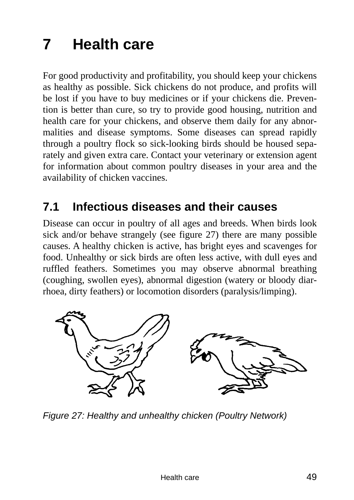# **7 Health care**

For good productivity and profitability, you should keep your chickens as healthy as possible. Sick chickens do not produce, and profits will be lost if you have to buy medicines or if your chickens die. Prevention is better than cure, so try to provide good housing, nutrition and health care for your chickens, and observe them daily for any abnormalities and disease symptoms. Some diseases can spread rapidly through a poultry flock so sick-looking birds should be housed separately and given extra care. Contact your veterinary or extension agent for information about common poultry diseases in your area and the availability of chicken vaccines.

## **7.1 Infectious diseases and their causes**

Disease can occur in poultry of all ages and breeds. When birds look sick and/or behave strangely (see figure 27) there are many possible causes. A healthy chicken is active, has bright eyes and scavenges for food. Unhealthy or sick birds are often less active, with dull eyes and ruffled feathers. Sometimes you may observe abnormal breathing (coughing, swollen eyes), abnormal digestion (watery or bloody diarrhoea, dirty feathers) or locomotion disorders (paralysis/limping).



*Figure 27: Healthy and unhealthy chicken (Poultry Network)*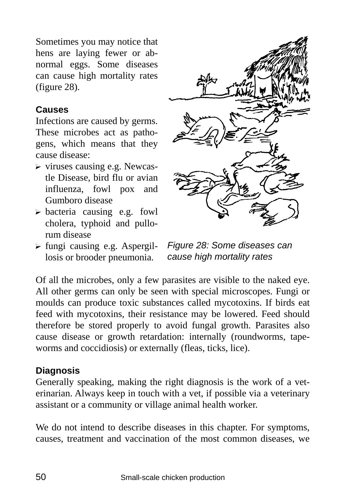Sometimes you may notice that hens are laying fewer or abnormal eggs. Some diseases can cause high mortality rates (figure 28).

#### **Causes**

Infections are caused by germs. These microbes act as pathogens, which means that they cause disease:

- $\triangleright$  viruses causing e.g. Newcastle Disease, bird flu or avian influenza, fowl pox and Gumboro disease
- $\triangleright$  bacteria causing e.g. fowl cholera, typhoid and pullorum disease
- $\triangleright$  fungi causing e.g. Aspergillosis or brooder pneumonia.



*Figure 28: Some diseases can cause high mortality rates* 

Of all the microbes, only a few parasites are visible to the naked eye. All other germs can only be seen with special microscopes. Fungi or moulds can produce toxic substances called mycotoxins. If birds eat feed with mycotoxins, their resistance may be lowered. Feed should therefore be stored properly to avoid fungal growth. Parasites also cause disease or growth retardation: internally (roundworms, tapeworms and coccidiosis) or externally (fleas, ticks, lice).

#### **Diagnosis**

Generally speaking, making the right diagnosis is the work of a veterinarian. Always keep in touch with a vet, if possible via a veterinary assistant or a community or village animal health worker.

We do not intend to describe diseases in this chapter. For symptoms, causes, treatment and vaccination of the most common diseases, we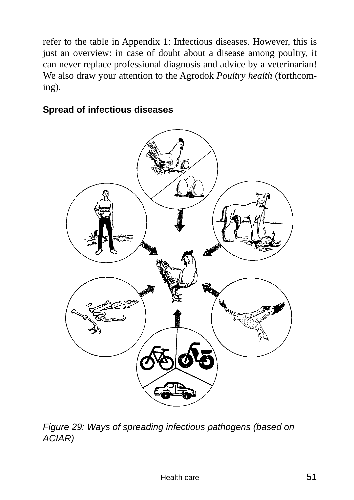refer to the table in Appendix 1: Infectious diseases. However, this is just an overview: in case of doubt about a disease among poultry, it can never replace professional diagnosis and advice by a veterinarian! We also draw your attention to the Agrodok *Poultry health* (forthcoming).

### **Spread of infectious diseases**



*Figure 29: Ways of spreading infectious pathogens (based on ACIAR)*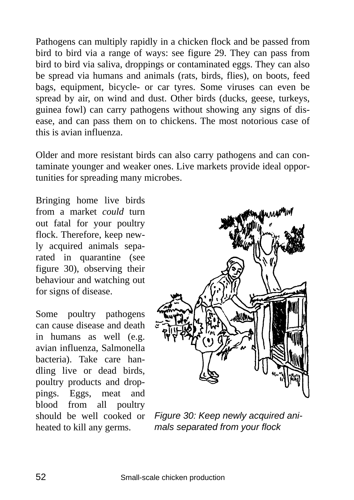Pathogens can multiply rapidly in a chicken flock and be passed from bird to bird via a range of ways: see figure 29. They can pass from bird to bird via saliva, droppings or contaminated eggs. They can also be spread via humans and animals (rats, birds, flies), on boots, feed bags, equipment, bicycle- or car tyres. Some viruses can even be spread by air, on wind and dust. Other birds (ducks, geese, turkeys, guinea fowl) can carry pathogens without showing any signs of disease, and can pass them on to chickens. The most notorious case of this is avian influenza.

Older and more resistant birds can also carry pathogens and can contaminate younger and weaker ones. Live markets provide ideal opportunities for spreading many microbes.

Bringing home live birds from a market *could* turn out fatal for your poultry flock. Therefore, keep newly acquired animals separated in quarantine (see figure 30), observing their behaviour and watching out for signs of disease.

Some poultry pathogens can cause disease and death in humans as well (e.g. avian influenza, Salmonella bacteria). Take care handling live or dead birds, poultry products and droppings. Eggs, meat and blood from all poultry should be well cooked or heated to kill any germs.



*Figure 30: Keep newly acquired animals separated from your flock*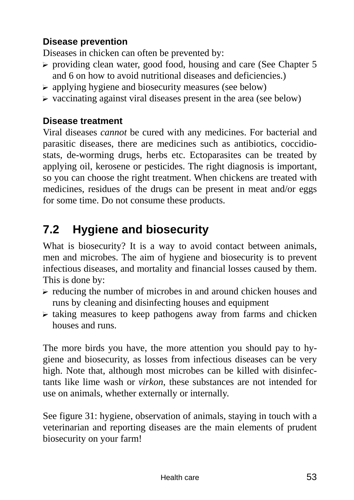### **Disease prevention**

Diseases in chicken can often be prevented by:

- $\triangleright$  providing clean water, good food, housing and care (See Chapter 5) and 6 on how to avoid nutritional diseases and deficiencies.)
- $\triangleright$  applying hygiene and biosecurity measures (see below)
- $\triangleright$  vaccinating against viral diseases present in the area (see below)

#### **Disease treatment**

Viral diseases *cannot* be cured with any medicines. For bacterial and parasitic diseases, there are medicines such as antibiotics, coccidiostats, de-worming drugs, herbs etc. Ectoparasites can be treated by applying oil, kerosene or pesticides. The right diagnosis is important, so you can choose the right treatment. When chickens are treated with medicines, residues of the drugs can be present in meat and/or eggs for some time. Do not consume these products.

# **7.2 Hygiene and biosecurity**

What is biosecurity? It is a way to avoid contact between animals, men and microbes. The aim of hygiene and biosecurity is to prevent infectious diseases, and mortality and financial losses caused by them. This is done by:

- $\triangleright$  reducing the number of microbes in and around chicken houses and runs by cleaning and disinfecting houses and equipment
- $\triangleright$  taking measures to keep pathogens away from farms and chicken houses and runs.

The more birds you have, the more attention you should pay to hygiene and biosecurity, as losses from infectious diseases can be very high. Note that, although most microbes can be killed with disinfectants like lime wash or *virkon*, these substances are not intended for use on animals, whether externally or internally.

See figure 31: hygiene, observation of animals, staying in touch with a veterinarian and reporting diseases are the main elements of prudent biosecurity on your farm!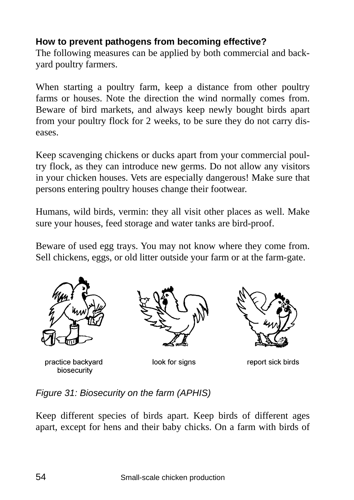### **How to prevent pathogens from becoming effective?**

The following measures can be applied by both commercial and backyard poultry farmers.

When starting a poultry farm, keep a distance from other poultry farms or houses. Note the direction the wind normally comes from. Beware of bird markets, and always keep newly bought birds apart from your poultry flock for 2 weeks, to be sure they do not carry diseases.

Keep scavenging chickens or ducks apart from your commercial poultry flock, as they can introduce new germs. Do not allow any visitors in your chicken houses. Vets are especially dangerous! Make sure that persons entering poultry houses change their footwear.

Humans, wild birds, vermin: they all visit other places as well. Make sure your houses, feed storage and water tanks are bird-proof.

Beware of used egg trays. You may not know where they come from. Sell chickens, eggs, or old litter outside your farm or at the farm-gate.



practice backyard biosecurity



look for signs



report sick birds

*Figure 31: Biosecurity on the farm (APHIS)* 

Keep different species of birds apart. Keep birds of different ages apart, except for hens and their baby chicks. On a farm with birds of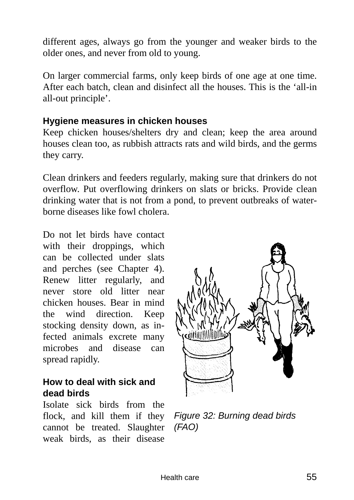different ages, always go from the younger and weaker birds to the older ones, and never from old to young.

On larger commercial farms, only keep birds of one age at one time. After each batch, clean and disinfect all the houses. This is the 'all-in all-out principle'.

#### **Hygiene measures in chicken houses**

Keep chicken houses/shelters dry and clean; keep the area around houses clean too, as rubbish attracts rats and wild birds, and the germs they carry.

Clean drinkers and feeders regularly, making sure that drinkers do not overflow. Put overflowing drinkers on slats or bricks. Provide clean drinking water that is not from a pond, to prevent outbreaks of waterborne diseases like fowl cholera.

Do not let birds have contact with their droppings, which can be collected under slats and perches (see Chapter 4). Renew litter regularly, and never store old litter near chicken houses. Bear in mind the wind direction. Keep stocking density down, as infected animals excrete many microbes and disease can spread rapidly.

#### **How to deal with sick and dead birds**

Isolate sick birds from the flock, and kill them if they cannot be treated. Slaughter *(FAO)* weak birds, as their disease



*Figure 32: Burning dead birds*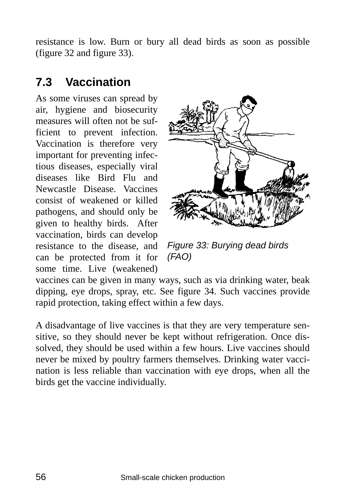resistance is low. Burn or bury all dead birds as soon as possible (figure 32 and figure 33).

## **7.3 Vaccination**

As some viruses can spread by air, hygiene and biosecurity measures will often not be sufficient to prevent infection. Vaccination is therefore very important for preventing infectious diseases, especially viral diseases like Bird Flu and Newcastle Disease. Vaccines consist of weakened or killed pathogens, and should only be given to healthy birds. After vaccination, birds can develop resistance to the disease, and can be protected from it for some time. Live (weakened)



*Figure 33: Burying dead birds (FAO)* 

vaccines can be given in many ways, such as via drinking water, beak dipping, eye drops, spray, etc. See figure 34. Such vaccines provide rapid protection, taking effect within a few days.

A disadvantage of live vaccines is that they are very temperature sensitive, so they should never be kept without refrigeration. Once dissolved, they should be used within a few hours. Live vaccines should never be mixed by poultry farmers themselves. Drinking water vaccination is less reliable than vaccination with eye drops, when all the birds get the vaccine individually.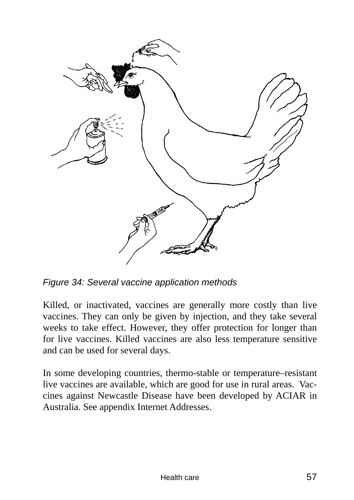

*Figure 34: Several vaccine application methods* 

Killed, or inactivated, vaccines are generally more costly than live vaccines. They can only be given by injection, and they take several weeks to take effect. However, they offer protection for longer than for live vaccines. Killed vaccines are also less temperature sensitive and can be used for several days.

In some developing countries, thermo-stable or temperature–resistant live vaccines are available, which are good for use in rural areas. Vaccines against Newcastle Disease have been developed by ACIAR in Australia. See appendix Internet Addresses.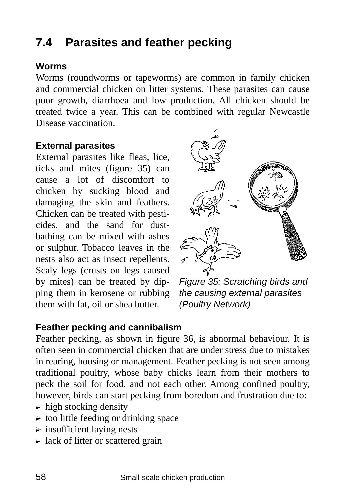# **7.4 Parasites and feather pecking**

#### **Worms**

Worms (roundworms or tapeworms) are common in family chicken and commercial chicken on litter systems. These parasites can cause poor growth, diarrhoea and low production. All chicken should be treated twice a year. This can be combined with regular Newcastle Disease vaccination.

#### **External parasites**

External parasites like fleas, lice, ticks and mites (figure 35) can cause a lot of discomfort to chicken by sucking blood and damaging the skin and feathers. Chicken can be treated with pesticides, and the sand for dustbathing can be mixed with ashes or sulphur. Tobacco leaves in the nests also act as insect repellents. Scaly legs (crusts on legs caused by mites) can be treated by dipping them in kerosene or rubbing them with fat, oil or shea butter.



*Figure 35: Scratching birds and the causing external parasites (Poultry Network)* 

#### **Feather pecking and cannibalism**

Feather pecking, as shown in figure 36, is abnormal behaviour. It is often seen in commercial chicken that are under stress due to mistakes in rearing, housing or management. Feather pecking is not seen among traditional poultry, whose baby chicks learn from their mothers to peck the soil for food, and not each other. Among confined poultry, however, birds can start pecking from boredom and frustration due to:

- $\triangleright$  high stocking density
- $\triangleright$  too little feeding or drinking space
- $\triangleright$  insufficient laying nests
- $\triangleright$  lack of litter or scattered grain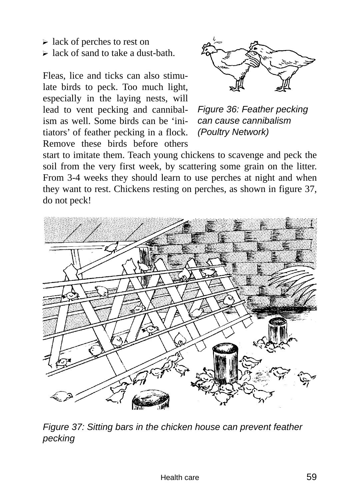- $\triangleright$  lack of perches to rest on
- $\triangleright$  lack of sand to take a dust-bath.

Fleas, lice and ticks can also stimulate birds to peck. Too much light, especially in the laying nests, will lead to vent pecking and cannibalism as well. Some birds can be 'initiators' of feather pecking in a flock. Remove these birds before others



*Figure 36: Feather pecking can cause cannibalism (Poultry Network)* 

start to imitate them. Teach young chickens to scavenge and peck the soil from the very first week, by scattering some grain on the litter. From 3-4 weeks they should learn to use perches at night and when they want to rest. Chickens resting on perches, as shown in figure 37, do not peck!



*Figure 37: Sitting bars in the chicken house can prevent feather pecking*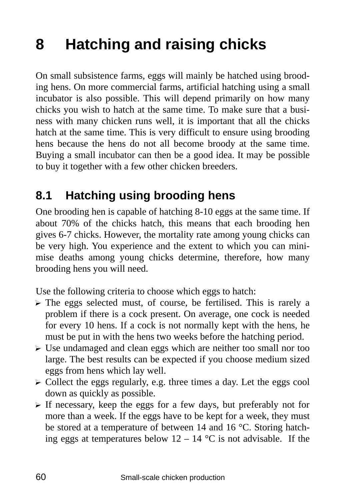# **8 Hatching and raising chicks**

On small subsistence farms, eggs will mainly be hatched using brooding hens. On more commercial farms, artificial hatching using a small incubator is also possible. This will depend primarily on how many chicks you wish to hatch at the same time. To make sure that a business with many chicken runs well, it is important that all the chicks hatch at the same time. This is very difficult to ensure using brooding hens because the hens do not all become broody at the same time. Buying a small incubator can then be a good idea. It may be possible to buy it together with a few other chicken breeders.

## **8.1 Hatching using brooding hens**

One brooding hen is capable of hatching 8-10 eggs at the same time. If about 70% of the chicks hatch, this means that each brooding hen gives 6-7 chicks. However, the mortality rate among young chicks can be very high. You experience and the extent to which you can minimise deaths among young chicks determine, therefore, how many brooding hens you will need.

Use the following criteria to choose which eggs to hatch:

- $\triangleright$  The eggs selected must, of course, be fertilised. This is rarely a problem if there is a cock present. On average, one cock is needed for every 10 hens. If a cock is not normally kept with the hens, he must be put in with the hens two weeks before the hatching period.
- $\triangleright$  Use undamaged and clean eggs which are neither too small nor too large. The best results can be expected if you choose medium sized eggs from hens which lay well.
- $\triangleright$  Collect the eggs regularly, e.g. three times a day. Let the eggs cool down as quickly as possible.
- $\triangleright$  If necessary, keep the eggs for a few days, but preferably not for more than a week. If the eggs have to be kept for a week, they must be stored at a temperature of between 14 and 16 °C. Storing hatching eggs at temperatures below  $12 - 14$  °C is not advisable. If the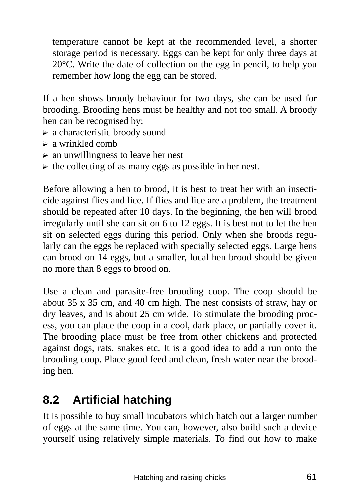temperature cannot be kept at the recommended level, a shorter storage period is necessary. Eggs can be kept for only three days at 20°C. Write the date of collection on the egg in pencil, to help you remember how long the egg can be stored.

If a hen shows broody behaviour for two days, she can be used for brooding. Brooding hens must be healthy and not too small. A broody hen can be recognised by:

- $\triangleright$  a characteristic broody sound
- $\triangleright$  a wrinkled comb
- $\triangleright$  an unwillingness to leave her nest
- $\triangleright$  the collecting of as many eggs as possible in her nest.

Before allowing a hen to brood, it is best to treat her with an insecticide against flies and lice. If flies and lice are a problem, the treatment should be repeated after 10 days. In the beginning, the hen will brood irregularly until she can sit on 6 to 12 eggs. It is best not to let the hen sit on selected eggs during this period. Only when she broods regularly can the eggs be replaced with specially selected eggs. Large hens can brood on 14 eggs, but a smaller, local hen brood should be given no more than 8 eggs to brood on.

Use a clean and parasite-free brooding coop. The coop should be about 35 x 35 cm, and 40 cm high. The nest consists of straw, hay or dry leaves, and is about 25 cm wide. To stimulate the brooding process, you can place the coop in a cool, dark place, or partially cover it. The brooding place must be free from other chickens and protected against dogs, rats, snakes etc. It is a good idea to add a run onto the brooding coop. Place good feed and clean, fresh water near the brooding hen.

# **8.2 Artificial hatching**

It is possible to buy small incubators which hatch out a larger number of eggs at the same time. You can, however, also build such a device yourself using relatively simple materials. To find out how to make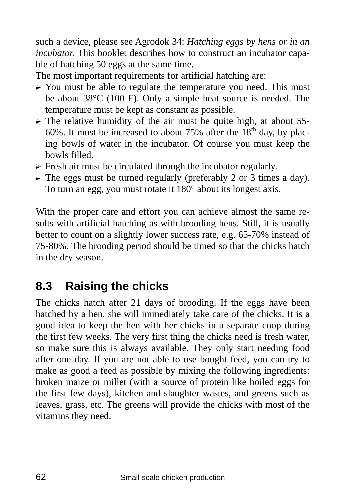such a device, please see Agrodok 34: *Hatching eggs by hens or in an incubator.* This booklet describes how to construct an incubator capable of hatching 50 eggs at the same time.

The most important requirements for artificial hatching are:

- $\triangleright$  You must be able to regulate the temperature you need. This must be about 38°C (100 F). Only a simple heat source is needed. The temperature must be kept as constant as possible.
- $\triangleright$  The relative humidity of the air must be quite high, at about 55-60%. It must be increased to about 75% after the  $18<sup>th</sup>$  day, by placing bowls of water in the incubator. Of course you must keep the bowls filled.
- $\triangleright$  Fresh air must be circulated through the incubator regularly.
- $\triangleright$  The eggs must be turned regularly (preferably 2 or 3 times a day). To turn an egg, you must rotate it 180° about its longest axis.

With the proper care and effort you can achieve almost the same results with artificial hatching as with brooding hens. Still, it is usually better to count on a slightly lower success rate, e.g. 65-70% instead of 75-80%. The brooding period should be timed so that the chicks hatch in the dry season.

# **8.3 Raising the chicks**

The chicks hatch after 21 days of brooding. If the eggs have been hatched by a hen, she will immediately take care of the chicks. It is a good idea to keep the hen with her chicks in a separate coop during the first few weeks. The very first thing the chicks need is fresh water, so make sure this is always available. They only start needing food after one day. If you are not able to use bought feed, you can try to make as good a feed as possible by mixing the following ingredients: broken maize or millet (with a source of protein like boiled eggs for the first few days), kitchen and slaughter wastes, and greens such as leaves, grass, etc. The greens will provide the chicks with most of the vitamins they need.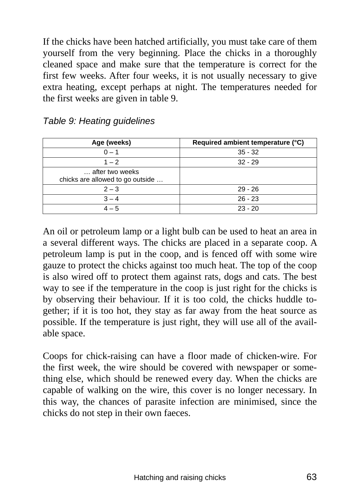If the chicks have been hatched artificially, you must take care of them yourself from the very beginning. Place the chicks in a thoroughly cleaned space and make sure that the temperature is correct for the first few weeks. After four weeks, it is not usually necessary to give extra heating, except perhaps at night. The temperatures needed for the first weeks are given in table 9.

| Age (weeks)                                         | Required ambient temperature (°C) |
|-----------------------------------------------------|-----------------------------------|
| $0 - 1$                                             | $35 - 32$                         |
| $1 - 2$                                             | $32 - 29$                         |
| after two weeks<br>chicks are allowed to go outside |                                   |
| $2 - 3$                                             | $29 - 26$                         |
| $3 - 4$                                             | $26 - 23$                         |
| $4 - 5$                                             | $23 - 20$                         |

*Table 9: Heating guidelines* 

An oil or petroleum lamp or a light bulb can be used to heat an area in a several different ways. The chicks are placed in a separate coop. A petroleum lamp is put in the coop, and is fenced off with some wire gauze to protect the chicks against too much heat. The top of the coop is also wired off to protect them against rats, dogs and cats. The best way to see if the temperature in the coop is just right for the chicks is by observing their behaviour. If it is too cold, the chicks huddle together; if it is too hot, they stay as far away from the heat source as possible. If the temperature is just right, they will use all of the available space.

Coops for chick-raising can have a floor made of chicken-wire. For the first week, the wire should be covered with newspaper or something else, which should be renewed every day. When the chicks are capable of walking on the wire, this cover is no longer necessary. In this way, the chances of parasite infection are minimised, since the chicks do not step in their own faeces.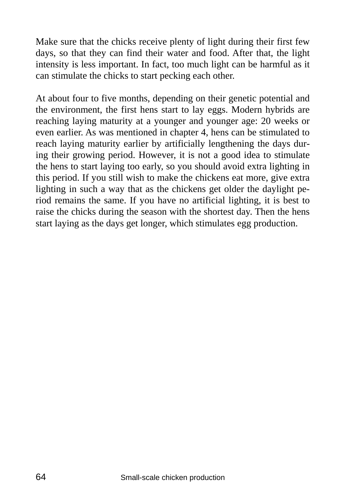Make sure that the chicks receive plenty of light during their first few days, so that they can find their water and food. After that, the light intensity is less important. In fact, too much light can be harmful as it can stimulate the chicks to start pecking each other.

At about four to five months, depending on their genetic potential and the environment, the first hens start to lay eggs. Modern hybrids are reaching laying maturity at a younger and younger age: 20 weeks or even earlier. As was mentioned in chapter 4, hens can be stimulated to reach laying maturity earlier by artificially lengthening the days during their growing period. However, it is not a good idea to stimulate the hens to start laying too early, so you should avoid extra lighting in this period. If you still wish to make the chickens eat more, give extra lighting in such a way that as the chickens get older the daylight period remains the same. If you have no artificial lighting, it is best to raise the chicks during the season with the shortest day. Then the hens start laying as the days get longer, which stimulates egg production.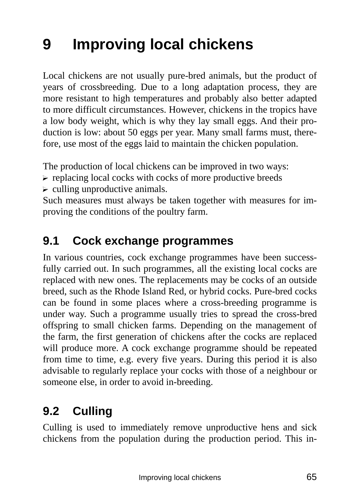# **9 Improving local chickens**

Local chickens are not usually pure-bred animals, but the product of years of crossbreeding. Due to a long adaptation process, they are more resistant to high temperatures and probably also better adapted to more difficult circumstances. However, chickens in the tropics have a low body weight, which is why they lay small eggs. And their production is low: about 50 eggs per year. Many small farms must, therefore, use most of the eggs laid to maintain the chicken population.

The production of local chickens can be improved in two ways:

- $\triangleright$  replacing local cocks with cocks of more productive breeds
- $\triangleright$  culling unproductive animals.

Such measures must always be taken together with measures for improving the conditions of the poultry farm.

# **9.1 Cock exchange programmes**

In various countries, cock exchange programmes have been successfully carried out. In such programmes, all the existing local cocks are replaced with new ones. The replacements may be cocks of an outside breed, such as the Rhode Island Red, or hybrid cocks. Pure-bred cocks can be found in some places where a cross-breeding programme is under way. Such a programme usually tries to spread the cross-bred offspring to small chicken farms. Depending on the management of the farm, the first generation of chickens after the cocks are replaced will produce more. A cock exchange programme should be repeated from time to time, e.g. every five years. During this period it is also advisable to regularly replace your cocks with those of a neighbour or someone else, in order to avoid in-breeding.

# **9.2 Culling**

Culling is used to immediately remove unproductive hens and sick chickens from the population during the production period. This in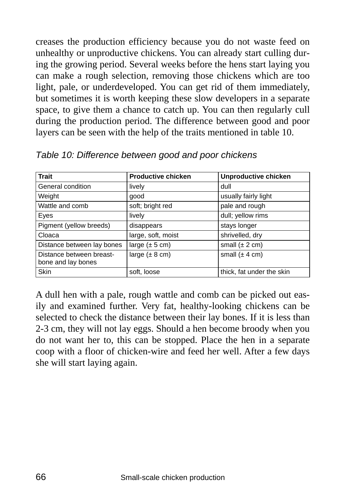creases the production efficiency because you do not waste feed on unhealthy or unproductive chickens. You can already start culling during the growing period. Several weeks before the hens start laying you can make a rough selection, removing those chickens which are too light, pale, or underdeveloped. You can get rid of them immediately, but sometimes it is worth keeping these slow developers in a separate space, to give them a chance to catch up. You can then regularly cull during the production period. The difference between good and poor layers can be seen with the help of the traits mentioned in table 10.

| <b>Trait</b>                                   | <b>Productive chicken</b>  | Unproductive chicken       |
|------------------------------------------------|----------------------------|----------------------------|
| General condition                              | lively                     | dull                       |
| Weight                                         | good                       | usually fairly light       |
| Wattle and comb                                | soft; bright red           | pale and rough             |
| Eyes                                           | lively                     | dull; yellow rims          |
| Pigment (yellow breeds)                        | disappears                 | stays longer               |
| Cloaca                                         | large, soft, moist         | shrivelled, dry            |
| Distance between lay bones                     | large $(\pm 5 \text{ cm})$ | small $(\pm 2 \text{ cm})$ |
| Distance between breast-<br>bone and lay bones | large $(\pm 8 \text{ cm})$ | small $(\pm 4 \text{ cm})$ |
| <b>Skin</b>                                    | soft, loose                | thick, fat under the skin  |

*Table 10: Difference between good and poor chickens* 

A dull hen with a pale, rough wattle and comb can be picked out easily and examined further. Very fat, healthy-looking chickens can be selected to check the distance between their lay bones. If it is less than 2-3 cm, they will not lay eggs. Should a hen become broody when you do not want her to, this can be stopped. Place the hen in a separate coop with a floor of chicken-wire and feed her well. After a few days she will start laying again.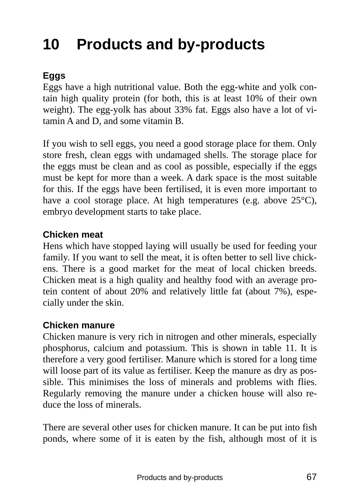# **10 Products and by-products**

### **Eggs**

Eggs have a high nutritional value. Both the egg-white and yolk contain high quality protein (for both, this is at least 10% of their own weight). The egg-yolk has about 33% fat. Eggs also have a lot of vitamin A and D, and some vitamin B.

If you wish to sell eggs, you need a good storage place for them. Only store fresh, clean eggs with undamaged shells. The storage place for the eggs must be clean and as cool as possible, especially if the eggs must be kept for more than a week. A dark space is the most suitable for this. If the eggs have been fertilised, it is even more important to have a cool storage place. At high temperatures (e.g. above 25<sup>o</sup>C), embryo development starts to take place.

### **Chicken meat**

Hens which have stopped laying will usually be used for feeding your family. If you want to sell the meat, it is often better to sell live chickens. There is a good market for the meat of local chicken breeds. Chicken meat is a high quality and healthy food with an average protein content of about 20% and relatively little fat (about 7%), especially under the skin.

#### **Chicken manure**

Chicken manure is very rich in nitrogen and other minerals, especially phosphorus, calcium and potassium. This is shown in table 11. It is therefore a very good fertiliser. Manure which is stored for a long time will loose part of its value as fertiliser. Keep the manure as dry as possible. This minimises the loss of minerals and problems with flies. Regularly removing the manure under a chicken house will also reduce the loss of minerals.

There are several other uses for chicken manure. It can be put into fish ponds, where some of it is eaten by the fish, although most of it is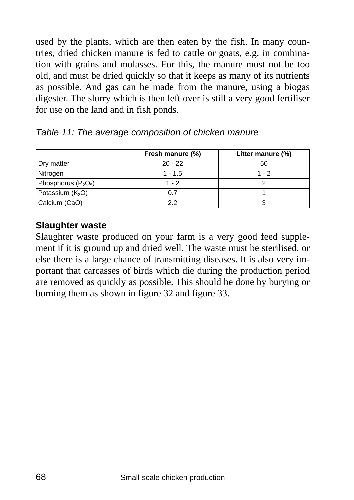used by the plants, which are then eaten by the fish. In many countries, dried chicken manure is fed to cattle or goats, e.g. in combination with grains and molasses. For this, the manure must not be too old, and must be dried quickly so that it keeps as many of its nutrients as possible. And gas can be made from the manure, using a biogas digester. The slurry which is then left over is still a very good fertiliser for use on the land and in fish ponds.

|                       | Fresh manure (%) | Litter manure (%) |
|-----------------------|------------------|-------------------|
| Dry matter            | $20 - 22$        | 50                |
| Nitrogen              | $1 - 1.5$        | $1 - 2$           |
| Phosphorus $(P_2O_5)$ | $1 - 2$          |                   |
| Potassium $(K_2O)$    | 0.7              |                   |
| Calcium (CaO)         | っっ               |                   |

*Table 11: The average composition of chicken manure* 

#### **Slaughter waste**

Slaughter waste produced on your farm is a very good feed supplement if it is ground up and dried well. The waste must be sterilised, or else there is a large chance of transmitting diseases. It is also very important that carcasses of birds which die during the production period are removed as quickly as possible. This should be done by burying or burning them as shown in figure 32 and figure 33.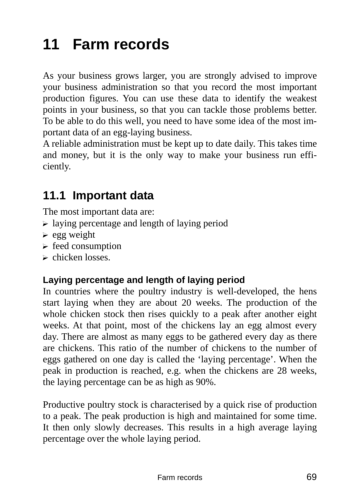# **11 Farm records**

As your business grows larger, you are strongly advised to improve your business administration so that you record the most important production figures. You can use these data to identify the weakest points in your business, so that you can tackle those problems better. To be able to do this well, you need to have some idea of the most important data of an egg-laying business.

A reliable administration must be kept up to date daily. This takes time and money, but it is the only way to make your business run efficiently.

# **11.1 Important data**

The most important data are:

- $\triangleright$  laying percentage and length of laying period
- $\ge$  egg weight
- $\triangleright$  feed consumption
- $\triangleright$  chicken losses.

#### **Laying percentage and length of laying period**

In countries where the poultry industry is well-developed, the hens start laying when they are about 20 weeks. The production of the whole chicken stock then rises quickly to a peak after another eight weeks. At that point, most of the chickens lay an egg almost every day. There are almost as many eggs to be gathered every day as there are chickens. This ratio of the number of chickens to the number of eggs gathered on one day is called the 'laying percentage'. When the peak in production is reached, e.g. when the chickens are 28 weeks, the laying percentage can be as high as 90%.

Productive poultry stock is characterised by a quick rise of production to a peak. The peak production is high and maintained for some time. It then only slowly decreases. This results in a high average laying percentage over the whole laying period.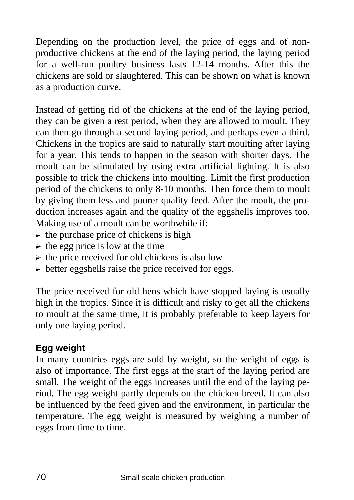Depending on the production level, the price of eggs and of nonproductive chickens at the end of the laying period, the laying period for a well-run poultry business lasts 12-14 months. After this the chickens are sold or slaughtered. This can be shown on what is known as a production curve.

Instead of getting rid of the chickens at the end of the laying period, they can be given a rest period, when they are allowed to moult. They can then go through a second laying period, and perhaps even a third. Chickens in the tropics are said to naturally start moulting after laying for a year. This tends to happen in the season with shorter days. The moult can be stimulated by using extra artificial lighting. It is also possible to trick the chickens into moulting. Limit the first production period of the chickens to only 8-10 months. Then force them to moult by giving them less and poorer quality feed. After the moult, the production increases again and the quality of the eggshells improves too. Making use of a moult can be worthwhile if:

- $\triangleright$  the purchase price of chickens is high
- $\triangleright$  the egg price is low at the time
- $\triangleright$  the price received for old chickens is also low
- $\triangleright$  better eggshells raise the price received for eggs.

The price received for old hens which have stopped laying is usually high in the tropics. Since it is difficult and risky to get all the chickens to moult at the same time, it is probably preferable to keep layers for only one laying period.

### **Egg weight**

In many countries eggs are sold by weight, so the weight of eggs is also of importance. The first eggs at the start of the laying period are small. The weight of the eggs increases until the end of the laying period. The egg weight partly depends on the chicken breed. It can also be influenced by the feed given and the environment, in particular the temperature. The egg weight is measured by weighing a number of eggs from time to time.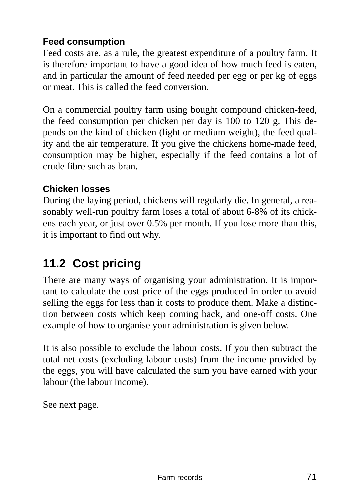### **Feed consumption**

Feed costs are, as a rule, the greatest expenditure of a poultry farm. It is therefore important to have a good idea of how much feed is eaten, and in particular the amount of feed needed per egg or per kg of eggs or meat. This is called the feed conversion.

On a commercial poultry farm using bought compound chicken-feed, the feed consumption per chicken per day is 100 to 120 g. This depends on the kind of chicken (light or medium weight), the feed quality and the air temperature. If you give the chickens home-made feed, consumption may be higher, especially if the feed contains a lot of crude fibre such as bran.

### **Chicken losses**

During the laying period, chickens will regularly die. In general, a reasonably well-run poultry farm loses a total of about 6-8% of its chickens each year, or just over 0.5% per month. If you lose more than this, it is important to find out why.

# **11.2 Cost pricing**

There are many ways of organising your administration. It is important to calculate the cost price of the eggs produced in order to avoid selling the eggs for less than it costs to produce them. Make a distinction between costs which keep coming back, and one-off costs. One example of how to organise your administration is given below.

It is also possible to exclude the labour costs. If you then subtract the total net costs (excluding labour costs) from the income provided by the eggs, you will have calculated the sum you have earned with your labour (the labour income).

See next page.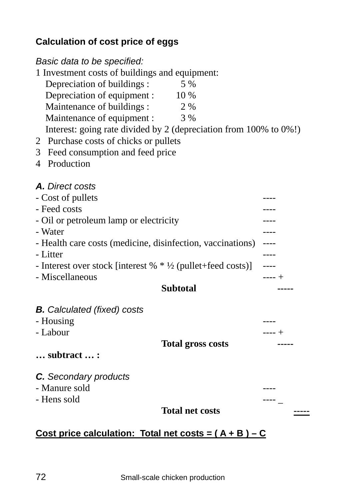### **Calculation of cost price of eggs**

### *Basic data to be specified:*  1 Investment costs of buildings and equipment: Depreciation of buildings : 5 % Depreciation of equipment : 10 % Maintenance of buildings :  $2\%$ Maintenance of equipment :  $3\%$  Interest: going rate divided by 2 (depreciation from 100% to 0%!) 2 Purchase costs of chicks or pullets 3 Feed consumption and feed price 4 Production *A. Direct costs*  - Cost of pullets - Feed costs - Oil or petroleum lamp or electricity ---- - Water  $\overline{\phantom{a}}$  ---- Health care costs (medicine, disinfection, vaccinations) ---- - Litter **----**- Interest over stock [interest % \* ½ (pullet+feed costs)] ---- - Miscellaneous ---- + **Subtotal** -----*B. Calculated (fixed) costs*  - Housing - Labour  $--- +$  **Total gross costs ----- … subtract … :** *C. Secondary products*  - Manure sold - Hens sold ---- \_ **Total net costs -----**

### **Cost price calculation: Total net costs = ( A + B ) – C**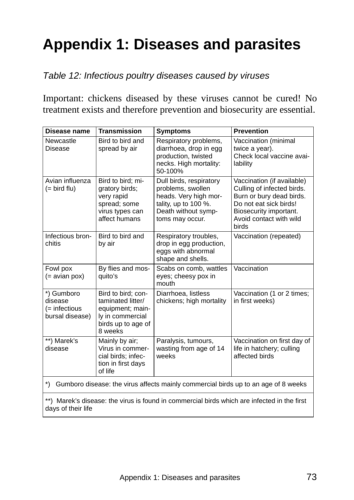# **Appendix 1: Diseases and parasites**

#### *Table 12: Infectious poultry diseases caused by viruses*

Important: chickens diseased by these viruses cannot be cured! No treatment exists and therefore prevention and biosecurity are essential.

| Disease name                                              | <b>Transmission</b>                                                                                              | <b>Symptoms</b>                                                                                                                         | <b>Prevention</b>                                                                                                                                                            |
|-----------------------------------------------------------|------------------------------------------------------------------------------------------------------------------|-----------------------------------------------------------------------------------------------------------------------------------------|------------------------------------------------------------------------------------------------------------------------------------------------------------------------------|
| Newcastle<br>Disease                                      | Bird to bird and<br>spread by air                                                                                | Respiratory problems,<br>diarrhoea, drop in egg<br>production, twisted<br>necks. High mortality:<br>50-100%                             | Vaccination (minimal<br>twice a year).<br>Check local vaccine avai-<br>lability                                                                                              |
| Avian influenza<br>$(=$ bird flu)                         | Bird to bird; mi-<br>gratory birds;<br>very rapid<br>spread; some<br>virus types can<br>affect humans            | Dull birds, respiratory<br>problems, swollen<br>heads. Very high mor-<br>tality, up to 100 %.<br>Death without symp-<br>toms may occur. | Vaccination (if available)<br>Culling of infected birds.<br>Burn or bury dead birds.<br>Do not eat sick birds!<br>Biosecurity important.<br>Avoid contact with wild<br>birds |
| Infectious bron-<br>chitis                                | Bird to bird and<br>by air                                                                                       | Respiratory troubles,<br>drop in egg production,<br>eggs with abnormal<br>shape and shells.                                             | Vaccination (repeated)                                                                                                                                                       |
| Fowl pox<br>$(=$ avian pox)                               | By flies and mos-<br>quito's                                                                                     | Scabs on comb, wattles<br>eyes; cheesy pox in<br>mouth                                                                                  | Vaccination                                                                                                                                                                  |
| *) Gumboro<br>disease<br>(= infectious<br>bursal disease) | Bird to bird; con-<br>taminated litter/<br>equipment; main-<br>ly in commercial<br>birds up to age of<br>8 weeks | Diarrhoea. listless<br>chickens; high mortality                                                                                         | Vaccination (1 or 2 times;<br>in first weeks)                                                                                                                                |
| **) Marek's<br>disease                                    | Mainly by air:<br>Virus in commer-<br>cial birds; infec-<br>tion in first days<br>of life                        | Paralysis, tumours,<br>wasting from age of 14<br>weeks                                                                                  | Vaccination on first day of<br>life in hatchery; culling<br>affected birds                                                                                                   |
| $\ast$                                                    |                                                                                                                  |                                                                                                                                         | Gumboro disease: the virus affects mainly commercial birds up to an age of 8 weeks                                                                                           |

\*\*) Marek's disease: the virus is found in commercial birds which are infected in the first days of their life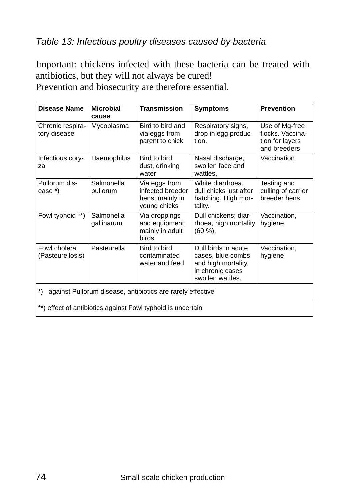#### *Table 13: Infectious poultry diseases caused by bacteria*

Important: chickens infected with these bacteria can be treated with antibiotics, but they will not always be cured! Prevention and biosecurity are therefore essential.

| Disease Name                                                                                                                                                                                                                             | <b>Microbial</b><br>cause | Transmission                                                         | <b>Symptoms</b>                                                              | <b>Prevention</b>                                                     |  |  |  |
|------------------------------------------------------------------------------------------------------------------------------------------------------------------------------------------------------------------------------------------|---------------------------|----------------------------------------------------------------------|------------------------------------------------------------------------------|-----------------------------------------------------------------------|--|--|--|
| Chronic respira-<br>tory disease                                                                                                                                                                                                         | Mycoplasma                | Bird to bird and<br>via eggs from<br>parent to chick                 | Respiratory signs,<br>drop in egg produc-<br>tion.                           | Use of Mg-free<br>flocks. Vaccina-<br>tion for layers<br>and breeders |  |  |  |
| Infectious cory-<br>za                                                                                                                                                                                                                   | Haemophilus               | Bird to bird,<br>dust, drinking<br>water                             | Nasal discharge,<br>swollen face and<br>wattles.                             | Vaccination                                                           |  |  |  |
| Pullorum dis-<br>ease *)                                                                                                                                                                                                                 | Salmonella<br>pullorum    | Via eggs from<br>infected breeder<br>hens; mainly in<br>young chicks | White diarrhoea,<br>dull chicks just after<br>hatching. High mor-<br>tality. | Testing and<br>culling of carrier<br>breeder hens                     |  |  |  |
| Fowl typhoid **)                                                                                                                                                                                                                         | Salmonella<br>qallinarum  | Via droppings<br>and equipment;<br>mainly in adult<br>birds          | Dull chickens; diar-<br>rhoea, high mortality<br>(60 %).                     | Vaccination,<br>hygiene                                               |  |  |  |
| Fowl cholera<br>Pasteurella<br>Bird to bird,<br>Dull birds in acute<br>Vaccination,<br>(Pasteurellosis)<br>contaminated<br>cases, blue combs<br>hygiene<br>water and feed<br>and high mortality,<br>in chronic cases<br>swollen wattles. |                           |                                                                      |                                                                              |                                                                       |  |  |  |
| $\left( \frac{*}{*} \right)$<br>against Pullorum disease, antibiotics are rarely effective                                                                                                                                               |                           |                                                                      |                                                                              |                                                                       |  |  |  |
| **) effect of antibiotics against Fowl typhoid is uncertain                                                                                                                                                                              |                           |                                                                      |                                                                              |                                                                       |  |  |  |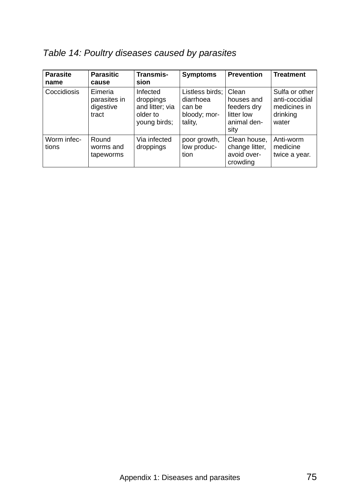## *Table 14: Poultry diseases caused by parasites*

| <b>Parasite</b><br>name | <b>Parasitic</b><br>cause                     | Transmis-<br>sion                                                    | <b>Symptoms</b>                                                   | <b>Prevention</b>                                                       | <b>Treatment</b>                                                      |
|-------------------------|-----------------------------------------------|----------------------------------------------------------------------|-------------------------------------------------------------------|-------------------------------------------------------------------------|-----------------------------------------------------------------------|
| Coccidiosis             | Eimeria<br>parasites in<br>digestive<br>tract | Infected<br>droppings<br>and litter; via<br>older to<br>young birds; | Listless birds;<br>diarrhoea<br>can be<br>bloody; mor-<br>tality, | Clean<br>houses and<br>feeders dry<br>litter low<br>animal den-<br>sity | Sulfa or other<br>anti-coccidial<br>medicines in<br>drinking<br>water |
| Worm infec-<br>tions    | Round<br>worms and<br>tapeworms               | Via infected<br>droppings                                            | poor growth.<br>low produc-<br>tion                               | Clean house,<br>change litter,<br>avoid over-<br>crowding               | Anti-worm<br>medicine<br>twice a year.                                |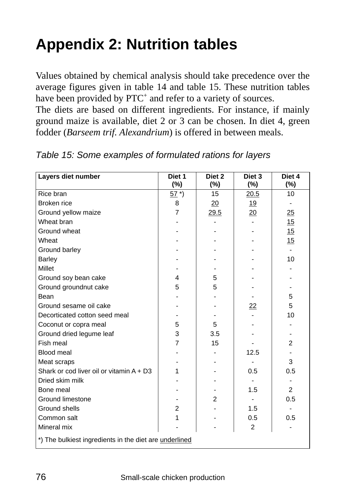# **Appendix 2: Nutrition tables**

Values obtained by chemical analysis should take precedence over the average figures given in table 14 and table 15. These nutrition tables have been provided by PTC<sup>+</sup> and refer to a variety of sources.

The diets are based on different ingredients. For instance, if mainly ground maize is available, diet 2 or 3 can be chosen. In diet 4, green fodder (*Barseem trif. Alexandrium*) is offered in between meals.

| Layers diet number                         | Diet 1<br>(%)                                          | Diet 2<br>(%)  | Diet 3<br>(%)   | Diet 4<br>(%)  |  |  |  |  |
|--------------------------------------------|--------------------------------------------------------|----------------|-----------------|----------------|--|--|--|--|
| Rice bran                                  | $57^*$                                                 | 15             | 20.5            | 10             |  |  |  |  |
| Broken rice                                | 8                                                      | 20             | <u>19</u>       | $\blacksquare$ |  |  |  |  |
| Ground yellow maize                        | 7                                                      | <u>29.5</u>    | $\overline{20}$ | <u>25</u>      |  |  |  |  |
| Wheat bran                                 |                                                        |                |                 | 15             |  |  |  |  |
| Ground wheat                               |                                                        |                |                 | 15             |  |  |  |  |
| Wheat                                      |                                                        |                |                 | 15             |  |  |  |  |
| Ground barley                              |                                                        |                |                 |                |  |  |  |  |
| Barley                                     |                                                        |                |                 | 10             |  |  |  |  |
| Millet                                     |                                                        |                |                 |                |  |  |  |  |
| Ground soy bean cake                       | 4                                                      | 5              |                 |                |  |  |  |  |
| Ground groundnut cake                      | 5                                                      | 5              |                 |                |  |  |  |  |
| Bean                                       |                                                        |                |                 | 5              |  |  |  |  |
| Ground sesame oil cake                     |                                                        |                | 22              | 5              |  |  |  |  |
| Decorticated cotton seed meal              |                                                        |                |                 | 10             |  |  |  |  |
| Coconut or copra meal                      | 5                                                      | 5              |                 |                |  |  |  |  |
| Ground dried legume leaf                   | 3                                                      | 3.5            |                 |                |  |  |  |  |
| Fish meal                                  | 7                                                      | 15             |                 | $\overline{2}$ |  |  |  |  |
| Blood meal                                 |                                                        |                | 12.5            |                |  |  |  |  |
| Meat scraps                                |                                                        |                |                 | 3              |  |  |  |  |
| Shark or cod liver oil or vitamin $A + D3$ | 1                                                      |                | 0.5             | 0.5            |  |  |  |  |
| Dried skim milk                            |                                                        |                | $\sim$          |                |  |  |  |  |
| Bone meal                                  |                                                        |                | 1.5             | $\overline{2}$ |  |  |  |  |
| Ground limestone                           |                                                        | $\overline{2}$ | $\sim$          | 0.5            |  |  |  |  |
| Ground shells                              | $\overline{2}$                                         |                | 1.5             |                |  |  |  |  |
| Common salt                                | 1                                                      |                | 0.5             | 0.5            |  |  |  |  |
| Mineral mix                                |                                                        |                | 2               |                |  |  |  |  |
|                                            | *) The bulkiest ingredients in the diet are underlined |                |                 |                |  |  |  |  |

*Table 15: Some examples of formulated rations for layers*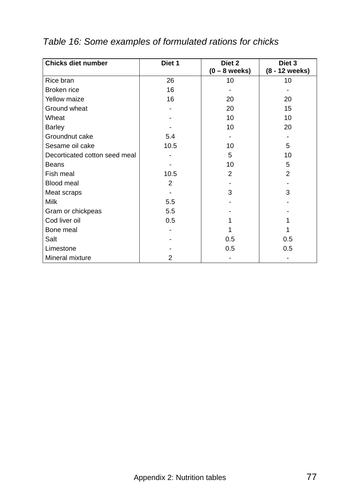| <b>Chicks diet number</b>     | Diet 1 | Diet 2<br>$(0 - 8$ weeks) | Diet 3<br>(8 - 12 weeks) |
|-------------------------------|--------|---------------------------|--------------------------|
| Rice bran                     | 26     | 10                        | 10                       |
| Broken rice                   | 16     |                           |                          |
|                               |        |                           |                          |
| Yellow maize                  | 16     | 20                        | 20                       |
| Ground wheat                  |        | 20                        | 15                       |
| Wheat                         |        | 10                        | 10                       |
| <b>Barley</b>                 |        | 10                        | 20                       |
| Groundnut cake                | 5.4    |                           |                          |
| Sesame oil cake               | 10.5   | 10                        | 5                        |
| Decorticated cotton seed meal |        | 5                         | 10                       |
| Beans                         |        | 10                        | 5                        |
| Fish meal                     | 10.5   | 2                         | $\overline{2}$           |
| <b>Blood meal</b>             | 2      |                           |                          |
| Meat scraps                   |        | 3                         | 3                        |
| <b>Milk</b>                   | 5.5    |                           |                          |
| Gram or chickpeas             | 5.5    |                           |                          |
| Cod liver oil                 | 0.5    |                           |                          |
| Bone meal                     |        |                           |                          |
| Salt                          |        | 0.5                       | 0.5                      |
| Limestone                     |        | 0.5                       | 0.5                      |
| Mineral mixture               | 2      |                           |                          |

## *Table 16: Some examples of formulated rations for chicks*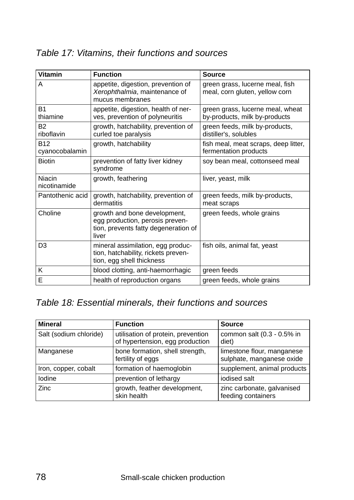## *Table 17: Vitamins, their functions and sources*

| <b>Vitamin</b>               | <b>Function</b>                                                                                                  | Source                                                            |
|------------------------------|------------------------------------------------------------------------------------------------------------------|-------------------------------------------------------------------|
| A                            | appetite, digestion, prevention of<br>Xerophthalmia, maintenance of<br>mucus membranes                           | green grass, lucerne meal, fish<br>meal, corn gluten, yellow corn |
| B <sub>1</sub><br>thiamine   | appetite, digestion, health of ner-<br>ves, prevention of polyneuritis                                           | green grass, lucerne meal, wheat<br>by-products, milk by-products |
| <b>B2</b><br>riboflavin      | growth, hatchability, prevention of<br>curled toe paralysis                                                      | green feeds, milk by-products,<br>distiller's, solubles           |
| <b>B12</b><br>cyanocobalamin | growth, hatchability                                                                                             | fish meal, meat scraps, deep litter,<br>fermentation products     |
| <b>Biotin</b>                | prevention of fatty liver kidney<br>syndrome                                                                     | soy bean meal, cottonseed meal                                    |
| Niacin<br>nicotinamide       | growth, feathering                                                                                               | liver, yeast, milk                                                |
| Pantothenic acid             | growth, hatchability, prevention of<br>dermatitis                                                                | green feeds, milk by-products,<br>meat scraps                     |
| Choline                      | growth and bone development,<br>egg production, perosis preven-<br>tion, prevents fatty degeneration of<br>liver | green feeds, whole grains                                         |
| D <sub>3</sub>               | mineral assimilation, egg produc-<br>tion, hatchability, rickets preven-<br>tion, egg shell thickness            | fish oils, animal fat, yeast                                      |
| K                            | blood clotting, anti-haemorrhagic                                                                                | green feeds                                                       |
| E                            | health of reproduction organs                                                                                    | green feeds, whole grains                                         |

## *Table 18: Essential minerals, their functions and sources*

| <b>Mineral</b>         | <b>Function</b>                                                       | <b>Source</b>                                           |
|------------------------|-----------------------------------------------------------------------|---------------------------------------------------------|
| Salt (sodium chloride) | utilisation of protein, prevention<br>of hypertension, egg production | common salt (0.3 - 0.5% in<br>diet)                     |
| Manganese              | bone formation, shell strength,<br>fertility of eggs                  | limestone flour, manganese<br>sulphate, manganese oxide |
| Iron, copper, cobalt   | formation of haemoglobin                                              | supplement, animal products                             |
| Iodine                 | prevention of lethargy                                                | iodised salt                                            |
| Zinc                   | growth, feather development,<br>skin health                           | zinc carbonate, galvanised<br>feeding containers        |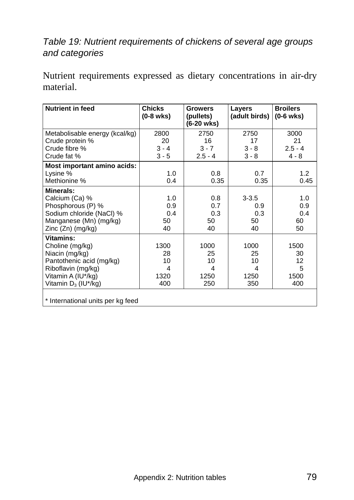## *Table 19: Nutrient requirements of chickens of several age groups and categories*

Nutrient requirements expressed as dietary concentrations in air-dry material.

| <b>Nutrient in feed</b>           | <b>Chicks</b><br>$(0-8$ wks) | <b>Growers</b><br>(pullets)<br>(6-20 wks) | Layers<br>(adult birds) | <b>Broilers</b><br>$(0-6$ wks) |
|-----------------------------------|------------------------------|-------------------------------------------|-------------------------|--------------------------------|
| Metabolisable energy (kcal/kg)    | 2800                         | 2750                                      | 2750                    | 3000                           |
| Crude protein %                   | 20                           | 16                                        | 17                      | 21                             |
| Crude fibre %                     | $3 - 4$                      | $3 - 7$                                   | $3 - 8$                 | $2.5 - 4$                      |
| Crude fat %                       | $3 - 5$                      | $2.5 - 4$                                 | $3 - 8$                 | $4 - 8$                        |
| Most important amino acids:       |                              |                                           |                         |                                |
| Lysine %                          | 1.0                          | 0.8                                       | 0.7                     | 1.2                            |
| Methionine %                      | 0.4                          | 0.35                                      | 0.35                    | 0.45                           |
| <b>Minerals:</b>                  |                              |                                           |                         |                                |
| Calcium (Ca) %                    | 1.0                          | 0.8                                       | $3 - 3.5$               | 1.0                            |
| Phosphorous (P) %                 | 0.9                          | 0.7                                       | 0.9                     | 0.9                            |
| Sodium chloride (NaCl) %          | 0.4                          | 0.3                                       | 0.3                     | 0.4                            |
| Manganese (Mn) (mg/kg)            | 50                           | 50                                        | 50                      | 60                             |
| Zinc (Zn) (mg/kg)                 | 40                           | 40                                        | 40                      | 50                             |
| Vitamins:                         |                              |                                           |                         |                                |
| Choline (mg/kg)                   | 1300                         | 1000                                      | 1000                    | 1500                           |
| Niacin (mg/kg)                    | 28                           | 25                                        | 25                      | 30                             |
| Pantothenic acid (mg/kg)          | 10                           | 10                                        | 10                      | 12                             |
| Riboflavin (mg/kg)                | 4                            | 4                                         | 4                       | 5                              |
| Vitamin A (IU*/kg)                | 1320                         | 1250                                      | 1250                    | 1500                           |
| Vitamin $D_3$ (IU*/kg)            | 400                          | 250                                       | 350                     | 400                            |
| * International units per kg feed |                              |                                           |                         |                                |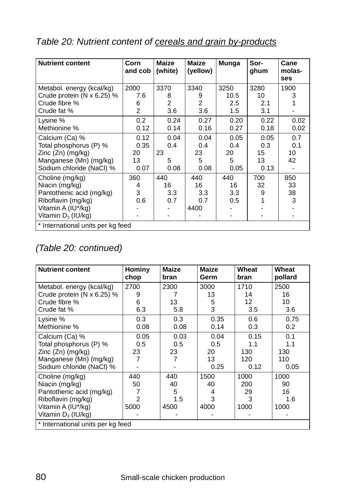| <b>Nutrient content</b>             | Corn<br>and cob | Maize<br>(white) | <b>Maize</b><br>(yellow) | Munga            | Sor-<br>ghum | Cane<br>molas-<br>ses |
|-------------------------------------|-----------------|------------------|--------------------------|------------------|--------------|-----------------------|
| Metabol. energy (kcal/kg)           | 2000            | 3370             | 3340                     | 3250             | 3280         | 1900                  |
| Crude protein ( $N \times 6.25$ ) % | 7.6             | 8                | 9                        | 10.5             | 10           | 3                     |
| Crude fibre %                       | 6               | 2                | 2                        | $2.5\phantom{0}$ | 2.1          |                       |
| Crude fat %                         | $\overline{2}$  | 3.6              | 3.6                      | 1.5              | 3.1          |                       |
| Lysine %                            | $0.2^{\circ}$   | 0.24             | 0.27                     | 0.20             | 0.22         | 0.02                  |
| Methionine %                        | 0.12            | 0.14             | 0.16                     | 0.27             | 0.18         | 0.02                  |
| Calcium (Ca) %                      | 0.12            | 0.04             | 0.04                     | 0.05             | 0.05         | 0.7                   |
| Total phosphorus (P) %              | 0.35            | 0.4              | 0.4                      | 0.4              | 0.3          | 0.1                   |
| Zinc (Zn) (mg/kg)                   | 20              | 23               | 23                       | 20               | 15           | 10                    |
| Manganese (Mn) (mg/kg)              | 13              | 5                | 5                        | 5                | 13           | 42                    |
| Sodium chloride (NaCl) %            | 0.07            | 0.08             | 0.08                     | 0.05             | 0.13         |                       |
| Choline (mg/kg)                     | 360             | 440              | 440                      | 440              | 700          | 850                   |
| Niacin (mg/kg)                      | 4               | 16               | 16                       | 16               | 32           | 33                    |
| Pantothenic acid (mg/kg)            | 3               | 3.3              | 3.3                      | 3.3              | 9            | 38                    |
| Riboflavin (mg/kg)                  | 0.6             | 0.7              | 0.7                      | 0.5              |              | 3                     |
| Vitamin A (IU*/kg)                  |                 |                  | 4400                     |                  |              |                       |
| Vitamin $D_3$ (IU/kg)               |                 |                  |                          |                  |              |                       |
| * International units per kg feed   |                 |                  |                          |                  |              |                       |

## *Table 20: Nutrient content of cereals and grain by-products*

## *(Table 20: continued)*

| <b>Nutrient content</b>           | Hominy<br>chop | <b>Maize</b><br>bran | <b>Maize</b><br>Germ | Wheat<br>bran | Wheat<br>pollard |
|-----------------------------------|----------------|----------------------|----------------------|---------------|------------------|
| Metabol. energy (kcal/kg)         | 2700           | 2300                 | 3000                 | 1710          | 2500             |
| Crude protein (N $\times$ 6.25) % | 9              |                      | 13                   | 14            | 16               |
| Crude fibre %                     | 6              | 13                   | 5                    | 12            | 10               |
| Crude fat %                       | 6.3            | 5.8                  | 3                    | 3.5           | 3.6              |
| Lysine %                          | 0.3            | 0.3                  | 0.35                 | 0.6           | 0.75             |
| Methionine %                      | 0.08           | 0.08                 | 0.14                 | 0.3           | 0.2              |
| Calcium (Ca) %                    | 0.05           | 0.03                 | 0.04                 | 0.15          | 0.1              |
| Total phosphorus (P) %            | 0.5            | 0.5                  | 0.5                  | 1.1           | 1.1              |
| Zinc $(Zn)$ (mg/kg)               | 23             | 23                   | 20                   | 130           | 130              |
| Manganese (Mn) (mg/kg)            | 7              | 7                    | 13                   | 120           | 110              |
| Sodium chloride (NaCl) %          |                |                      | 0.25                 | 0.12          | 0.05             |
| Choline (mg/kg)                   | 440            | 440                  | 1500                 | 1000          | 1000             |
| Niacin (mg/kg)                    | 50             | 40                   | 40                   | 200           | 90               |
| Pantothenic acid (mg/kg)          | 7              | 5                    | 4                    | 29            | 16               |
| Riboflavin (mg/kg)                | 2              | 1.5                  | 3                    | 3             | 1.6              |
| Vitamin A (IU*/kg)                | 5000           | 4500                 | 4000                 | 1000          | 1000             |
| Vitamin $D_3$ (IU/kg)             |                |                      |                      |               |                  |
| * International units per kg feed |                |                      |                      |               |                  |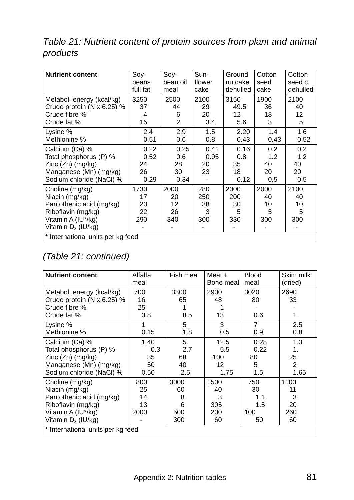## *Table 21: Nutrient content of protein sources from plant and animal products*

| <b>Nutrient content</b>                                                                                                            | Soy-                             | Soy-                            | Sun-                         | Ground                          | Cotton                        | Cotton                        |
|------------------------------------------------------------------------------------------------------------------------------------|----------------------------------|---------------------------------|------------------------------|---------------------------------|-------------------------------|-------------------------------|
|                                                                                                                                    | beans                            | bean oil                        | flower                       | nutcake                         | seed                          | seed c.                       |
|                                                                                                                                    | full fat                         | meal                            | cake                         | dehulled                        | cake                          | dehulled                      |
| Metabol. energy (kcal/kg)                                                                                                          | 3250                             | 2500                            | 2100                         | 3150                            | 1900                          | 2100                          |
| Crude protein ( $N \times 6.25$ ) %                                                                                                | 37                               | 44                              | 29                           | 49.5                            | 36                            | 40                            |
| Crude fibre %                                                                                                                      | 4                                | 6                               | 20                           | 12                              | 18                            | 12                            |
| Crude fat %                                                                                                                        | 15                               | $\overline{2}$                  | 3.4                          | 5.6                             | 3                             | 5                             |
| Lysine %                                                                                                                           | 2.4                              | 2.9                             | 1.5                          | 2.20                            | 1.4                           | 1.6                           |
| Methionine %                                                                                                                       | 0.51                             | 0.6                             | 0.8                          | 0.43                            | 0.43                          | 0.52                          |
| Calcium (Ca) %<br>Total phosphorus (P) %<br>Zinc (Zn) (mg/kg)<br>Manganese (Mn) (mg/kg)<br>Sodium chloride (NaCl) %                | 0.22<br>0.52<br>24<br>26<br>0.29 | 0.25<br>0.6<br>28<br>30<br>0.34 | 0.41<br>0.95<br>20<br>23     | 0.16<br>0.8<br>35<br>18<br>0.12 | 0.2<br>1.2<br>40<br>20<br>0.5 | 0.2<br>1.2<br>40<br>20<br>0.5 |
| Choline (mg/kg)<br>Niacin (mg/kg)<br>Pantothenic acid (mg/kg)<br>Riboflavin (mg/kg)<br>Vitamin A (IU*/kg)<br>Vitamin $D_3$ (IU/kg) | 1730<br>17<br>23<br>22<br>290    | 2000<br>20<br>12<br>26<br>340   | 280<br>250<br>38<br>3<br>300 | 2000<br>200<br>30<br>5<br>330   | 2000<br>40<br>10<br>5<br>300  | 2100<br>40<br>10<br>5<br>300  |
| * International units per kg feed                                                                                                  |                                  |                                 |                              |                                 |                               |                               |

## *(Table 21: continued)*

| <b>Nutrient content</b>           | Alfalfa<br>meal | Fish meal | $Meat +$<br>Bone meal | <b>Blood</b><br>meal | Skim milk<br>(dried) |
|-----------------------------------|-----------------|-----------|-----------------------|----------------------|----------------------|
| Metabol. energy (kcal/kg)         | 700             | 3300      | 2900                  | 3020                 | 2690                 |
| Crude protein (N $\times$ 6.25) % | 16              | 65        | 48                    | 80                   | 33                   |
| Crude fibre %                     | 25              |           |                       |                      |                      |
| Crude fat %                       | 3.8             | 8.5       | 13                    | 0.6                  | 1                    |
| Lysine %                          | 1               | 5         | 3                     | 7                    | 2.5                  |
| Methionine %                      | 0.15            | 1.8       | 0.5                   | 0.9                  | 0.8                  |
| Calcium (Ca) %                    | 1.40            | 5.        | 12.5                  | 0.28                 | 1.3                  |
| Total phosphorus (P) %            | 0.3             | 2.7       | 5.5                   | 0.22                 | 1.                   |
| Zinc $(Zn)$ (mg/kg)               | 35              | 68        | 100                   | 80                   | 25                   |
| Manganese (Mn) (mg/kg)            | 50              | 40        | 12                    | 5                    | 2                    |
| Sodium chloride (NaCl) %          | 0.50            | 2.5       | 1.75                  | 1.5                  | 1.65                 |
| Choline (mg/kg)                   | 800             | 3000      | 1500                  | 750                  | 1100                 |
| Niacin (mg/kg)                    | 25              | 60        | 40                    | 30                   | 11                   |
| Pantothenic acid (mg/kg)          | 14              | 8         | 3                     | 1.1                  | 3                    |
| Riboflavin (mg/kg)                | 13              | 6         | 305                   | 1.5                  | 20                   |
| Vitamin A (IU*/kg)                | 2000            | 500       | 200                   | 100                  | 260                  |
| Vitamin $D_3$ (IU/kg)             |                 | 300       | 60                    | 50                   | 60                   |
| * International units per kg feed |                 |           |                       |                      |                      |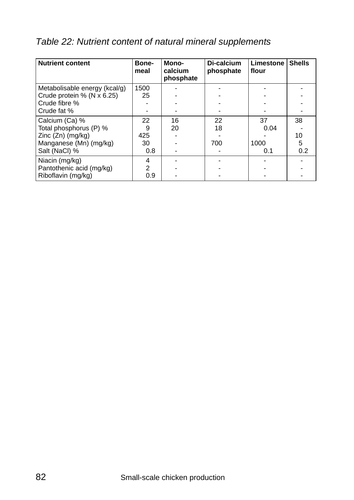|  |  | Table 22: Nutrient content of natural mineral supplements |
|--|--|-----------------------------------------------------------|
|  |  |                                                           |

| <b>Nutrient content</b>       | Bone-<br>meal  | Mono-<br>calcium<br>phosphate | Di-calcium<br>phosphate | <b>Limestone</b><br>flour | <b>Shells</b> |
|-------------------------------|----------------|-------------------------------|-------------------------|---------------------------|---------------|
| Metabolisable energy (kcal/g) | 1500           |                               |                         |                           |               |
| Crude protein $%$ (N x 6.25)  | 25             |                               |                         |                           |               |
| Crude fibre %                 |                |                               |                         |                           |               |
| Crude fat %                   |                |                               |                         |                           |               |
| Calcium (Ca) %                | 22             | 16                            | 22                      | 37                        | 38            |
| Total phosphorus (P) %        | 9              | 20                            | 18                      | 0.04                      |               |
| $Zinc(Zn)$ (mg/kg)            | 425            |                               |                         |                           | 10            |
| Manganese (Mn) (mg/kg)        | 30             |                               | 700                     | 1000                      | 5             |
| Salt (NaCl) %                 | 0.8            |                               |                         | 0.1                       | 0.2           |
| Niacin (mg/kg)                | 4              |                               |                         |                           |               |
| Pantothenic acid (mg/kg)      | $\overline{2}$ |                               |                         |                           |               |
| Riboflavin (mg/kg)            | 0.9            |                               |                         |                           |               |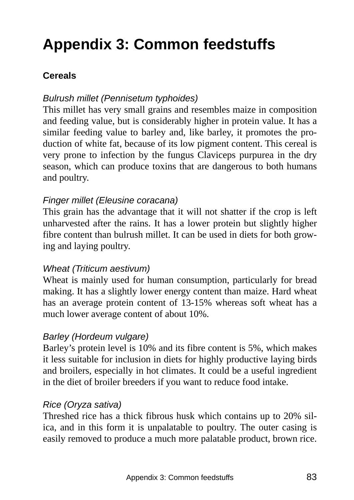# **Appendix 3: Common feedstuffs**

## **Cereals**

#### *Bulrush millet (Pennisetum typhoides)*

This millet has very small grains and resembles maize in composition and feeding value, but is considerably higher in protein value. It has a similar feeding value to barley and, like barley, it promotes the production of white fat, because of its low pigment content. This cereal is very prone to infection by the fungus Claviceps purpurea in the dry season, which can produce toxins that are dangerous to both humans and poultry.

#### *Finger millet (Eleusine coracana)*

This grain has the advantage that it will not shatter if the crop is left unharvested after the rains. It has a lower protein but slightly higher fibre content than bulrush millet. It can be used in diets for both growing and laying poultry.

#### *Wheat (Triticum aestivum)*

Wheat is mainly used for human consumption, particularly for bread making. It has a slightly lower energy content than maize. Hard wheat has an average protein content of 13-15% whereas soft wheat has a much lower average content of about 10%.

#### *Barley (Hordeum vulgare)*

Barley's protein level is 10% and its fibre content is 5%, which makes it less suitable for inclusion in diets for highly productive laying birds and broilers, especially in hot climates. It could be a useful ingredient in the diet of broiler breeders if you want to reduce food intake.

#### *Rice (Oryza sativa)*

Threshed rice has a thick fibrous husk which contains up to 20% silica, and in this form it is unpalatable to poultry. The outer casing is easily removed to produce a much more palatable product, brown rice.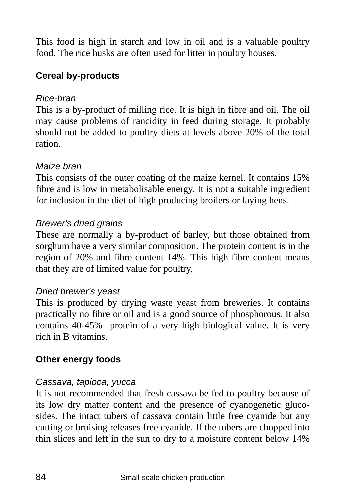This food is high in starch and low in oil and is a valuable poultry food. The rice husks are often used for litter in poultry houses.

## **Cereal by-products**

#### *Rice-bran*

This is a by-product of milling rice. It is high in fibre and oil. The oil may cause problems of rancidity in feed during storage. It probably should not be added to poultry diets at levels above 20% of the total ration.

#### *Maize bran*

This consists of the outer coating of the maize kernel. It contains 15% fibre and is low in metabolisable energy. It is not a suitable ingredient for inclusion in the diet of high producing broilers or laying hens.

#### *Brewer's dried grains*

These are normally a by-product of barley, but those obtained from sorghum have a very similar composition. The protein content is in the region of 20% and fibre content 14%. This high fibre content means that they are of limited value for poultry.

### *Dried brewer's yeast*

This is produced by drying waste yeast from breweries. It contains practically no fibre or oil and is a good source of phosphorous. It also contains 40-45% protein of a very high biological value. It is very rich in B vitamins.

### **Other energy foods**

#### *Cassava, tapioca, yucca*

It is not recommended that fresh cassava be fed to poultry because of its low dry matter content and the presence of cyanogenetic glucosides. The intact tubers of cassava contain little free cyanide but any cutting or bruising releases free cyanide. If the tubers are chopped into thin slices and left in the sun to dry to a moisture content below 14%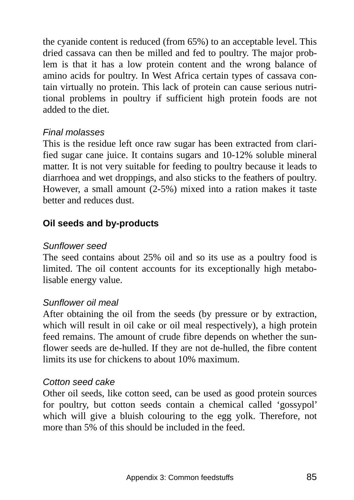the cyanide content is reduced (from 65%) to an acceptable level. This dried cassava can then be milled and fed to poultry. The major problem is that it has a low protein content and the wrong balance of amino acids for poultry. In West Africa certain types of cassava contain virtually no protein. This lack of protein can cause serious nutritional problems in poultry if sufficient high protein foods are not added to the diet.

#### *Final molasses*

This is the residue left once raw sugar has been extracted from clarified sugar cane juice. It contains sugars and 10-12% soluble mineral matter. It is not very suitable for feeding to poultry because it leads to diarrhoea and wet droppings, and also sticks to the feathers of poultry. However, a small amount (2-5%) mixed into a ration makes it taste better and reduces dust.

### **Oil seeds and by-products**

#### *Sunflower seed*

The seed contains about 25% oil and so its use as a poultry food is limited. The oil content accounts for its exceptionally high metabolisable energy value.

#### *Sunflower oil meal*

After obtaining the oil from the seeds (by pressure or by extraction, which will result in oil cake or oil meal respectively), a high protein feed remains. The amount of crude fibre depends on whether the sunflower seeds are de-hulled. If they are not de-hulled, the fibre content limits its use for chickens to about 10% maximum.

#### *Cotton seed cake*

Other oil seeds, like cotton seed, can be used as good protein sources for poultry, but cotton seeds contain a chemical called 'gossypol' which will give a bluish colouring to the egg yolk. Therefore, not more than 5% of this should be included in the feed.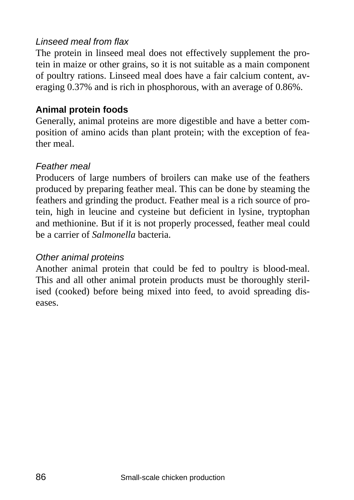### *Linseed meal from flax*

The protein in linseed meal does not effectively supplement the protein in maize or other grains, so it is not suitable as a main component of poultry rations. Linseed meal does have a fair calcium content, averaging 0.37% and is rich in phosphorous, with an average of 0.86%.

## **Animal protein foods**

Generally, animal proteins are more digestible and have a better composition of amino acids than plant protein; with the exception of feather meal.

### *Feather meal*

Producers of large numbers of broilers can make use of the feathers produced by preparing feather meal. This can be done by steaming the feathers and grinding the product. Feather meal is a rich source of protein, high in leucine and cysteine but deficient in lysine, tryptophan and methionine. But if it is not properly processed, feather meal could be a carrier of *Salmonella* bacteria.

### *Other animal proteins*

Another animal protein that could be fed to poultry is blood-meal. This and all other animal protein products must be thoroughly sterilised (cooked) before being mixed into feed, to avoid spreading diseases.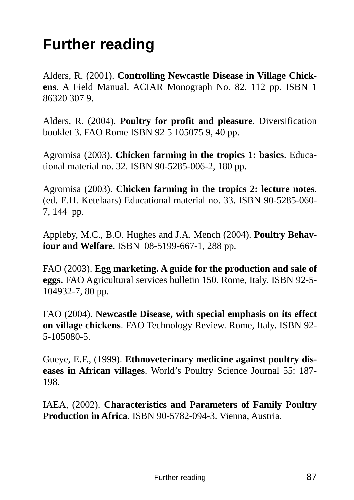## **Further reading**

Alders, R. (2001). **Controlling Newcastle Disease in Village Chickens**. A Field Manual. ACIAR Monograph No. 82. 112 pp. ISBN 1 86320 307 9.

Alders, R. (2004). **Poultry for profit and pleasure**. Diversification booklet 3. FAO Rome ISBN 92 5 105075 9, 40 pp.

Agromisa (2003). **Chicken farming in the tropics 1: basics**. Educational material no. 32. ISBN 90-5285-006-2, 180 pp.

Agromisa (2003). **Chicken farming in the tropics 2: lecture notes**. (ed. E.H. Ketelaars) Educational material no. 33. ISBN 90-5285-060- 7, 144 pp.

Appleby, M.C., B.O. Hughes and J.A. Mench (2004). **Poultry Behaviour and Welfare**. ISBN 08-5199-667-1, 288 pp.

FAO (2003). **Egg marketing. A guide for the production and sale of eggs.** FAO Agricultural services bulletin 150. Rome, Italy. ISBN 92-5- 104932-7, 80 pp.

FAO (2004). **Newcastle Disease, with special emphasis on its effect on village chickens**. FAO Technology Review. Rome, Italy. ISBN 92- 5-105080-5.

Gueye, E.F., (1999). **Ethnoveterinary medicine against poultry diseases in African villages**. World's Poultry Science Journal 55: 187- 198.

IAEA, (2002). **Characteristics and Parameters of Family Poultry Production in Africa**. ISBN 90-5782-094-3. Vienna, Austria.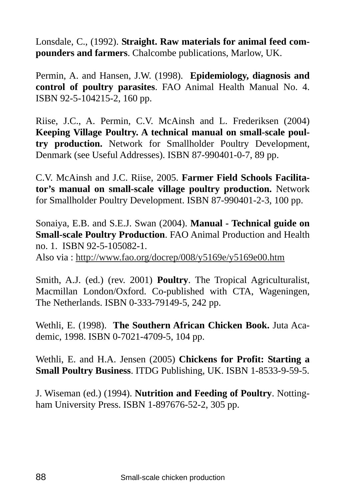Lonsdale, C., (1992). **Straight. Raw materials for animal feed compounders and farmers**. Chalcombe publications, Marlow, UK.

Permin, A. and Hansen, J.W. (1998). **Epidemiology, diagnosis and control of poultry parasites**. FAO Animal Health Manual No. 4. ISBN 92-5-104215-2, 160 pp.

Riise, J.C., A. Permin, C.V. McAinsh and L. Frederiksen (2004) **Keeping Village Poultry. A technical manual on small-scale poultry production.** Network for Smallholder Poultry Development, Denmark (see Useful Addresses). ISBN 87-990401-0-7, 89 pp.

C.V. McAinsh and J.C. Riise, 2005. **Farmer Field Schools Facilitator's manual on small-scale village poultry production.** Network for Smallholder Poultry Development. ISBN 87-990401-2-3, 100 pp.

Sonaiya, E.B. and S.E.J. Swan (2004). **Manual - Technical guide on Small-scale Poultry Production**. FAO Animal Production and Health no. 1. ISBN 92-5-105082-1.

Also via : http://www.fao.org/docrep/008/y5169e/y5169e00.htm

Smith, A.J. (ed.) (rev. 2001) **Poultry**. The Tropical Agriculturalist, Macmillan London/Oxford. Co-published with CTA, Wageningen, The Netherlands. ISBN 0-333-79149-5, 242 pp.

Wethli, E. (1998). **The Southern African Chicken Book.** Juta Academic, 1998. ISBN 0-7021-4709-5, 104 pp.

Wethli, E. and H.A. Jensen (2005) **Chickens for Profit: Starting a Small Poultry Business**. ITDG Publishing, UK. ISBN 1-8533-9-59-5.

J. Wiseman (ed.) (1994). **Nutrition and Feeding of Poultry**. Nottingham University Press. ISBN 1-897676-52-2, 305 pp.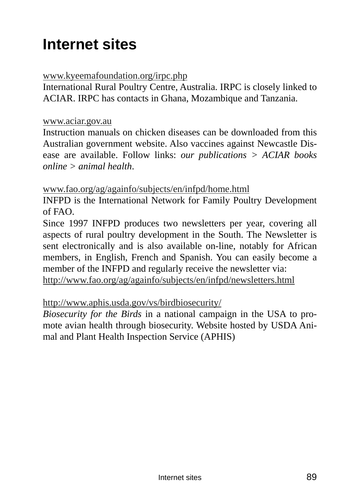## **Internet sites**

#### www.kyeemafoundation.org/irpc.php

International Rural Poultry Centre, Australia. IRPC is closely linked to ACIAR. IRPC has contacts in Ghana, Mozambique and Tanzania.

#### www.aciar.gov.au

Instruction manuals on chicken diseases can be downloaded from this Australian government website. Also vaccines against Newcastle Disease are available. Follow links: *our publications > ACIAR books online > animal health*.

#### www.fao.org/ag/againfo/subjects/en/infpd/home.html

INFPD is the International Network for Family Poultry Development of FAO.

Since 1997 INFPD produces two newsletters per year, covering all aspects of rural poultry development in the South. The Newsletter is sent electronically and is also available on-line, notably for African members, in English, French and Spanish. You can easily become a member of the INFPD and regularly receive the newsletter via:

http://www.fao.org/ag/againfo/subjects/en/infpd/newsletters.html

#### http://www.aphis.usda.gov/vs/birdbiosecurity/

*Biosecurity for the Birds* in a national campaign in the USA to promote avian health through biosecurity. Website hosted by USDA Animal and Plant Health Inspection Service (APHIS)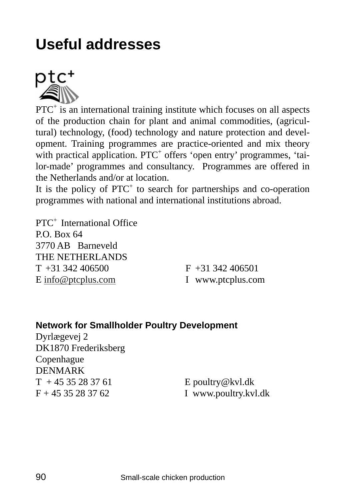## **Useful addresses**



PTC<sup>+</sup> is an international training institute which focuses on all aspects of the production chain for plant and animal commodities, (agricultural) technology, (food) technology and nature protection and development. Training programmes are practice-oriented and mix theory with practical application. PTC<sup>+</sup> offers 'open entry' programmes, 'tailor-made' programmes and consultancy. Programmes are offered in the Netherlands and/or at location.

It is the policy of PTC<sup>+</sup> to search for partnerships and co-operation programmes with national and international institutions abroad.

PTC<sup>+</sup> International Office  $PO$  Box  $64$ 3770 AB Barneveld THE NETHERLANDS  $T + 31342406500$  F  $+31342406501$ E info@ptcplus.com I www.ptcplus.com

#### **Network for Smallholder Poultry Development**

Dyrlægevej 2 DK1870 Frederiksberg Copenhague DENMARK  $T + 4535283761$  E poultry@kvl.dk  $F + 4535283762$  I www.poultry.kvl.dk